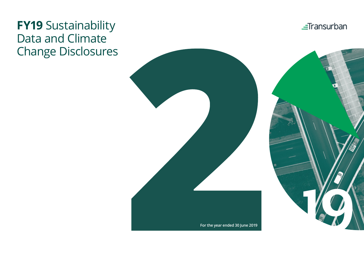# **FY19** Sustainability Data and Climate Change Disclosures



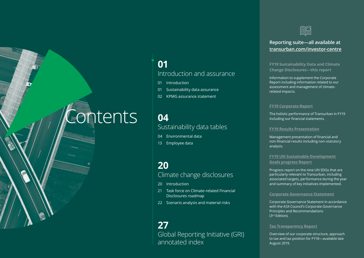# **Contents**

# **01** Introduction and assurance

- 01 Introduction
- 01 Sustainability data assurance
- 02 KPMG assurance statement

# **04** Sustainability data tables

- 04 Environmental data
- 13 Employee data

# **20** Climate change disclosures

- 20 Introduction
- 21 Task force on Climate-related Financial Disclosures roadmap
- 22 Scenario analysis and material risks

# **27** Global Reporting Initiative (GRI) annotated index



# **Reporting suite—all available at [transurban.com/i](http://www.transurban.com/investor-centre)nvestor-centre**

**FY19 Sustainability Data and Climate Change Disclosures—this report**

Information to supplement the Corporate Report including information related to our assessment and management of climaterelated impacts.

### **[FY19 Corporate Report](https://www.transurban.com/corporate-report-2019)**

The holistic performance of Transurban in FY19 including our financial statements.

#### **[FY19 Results Presentation](https://www.transurban.com/fy19-results-presentation)**

Management presentation of financial and non-financial results including non-statutory analysis.

**[FY19 UN Sustainable Development](https://www.transurban.com/fy19-sustainability-sdgs)  [Goals progress Report](https://www.transurban.com/fy19-sustainability-sdgs)**

Progress report on the nine UN SDGs that are particularly relevant to Transurban, including associated targets, performance during the year and summary of key initiatives implemented.

#### **[Corporate Governance Statement](https://www.transurban.com/corporate-governance-statement)**

Corporate Governance Statement in accordance with the ASX Council's Corporate Governance Principles and Recommendations (3rd Edition).

#### **[Tax Transparency Report](https://www.transurban.com/tax-transparency-report)**

Overview of our corporate structure, approach to tax and tax position for FY18—available late August 2019.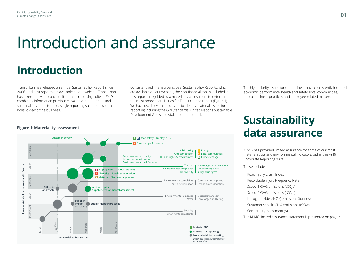# Introduction and assurance

# **Introduction**

Transurban has released an annual Sustainability Report since 2006, and past reports are available on our website. Transurban has taken a new approach to its annual reporting suite in FY19, combining information previously available in our annual and sustainability reports into a single reporting suite to provide a holistic view of the business.

Consistent with Transurban's past Sustainability Reports, which are available on our website, the non-financial topics included in this report are guided by a materiality assessment to determine the most appropriate issues for Transurban to report (Figure 1). We have used several processes to identify material issues for reporting including the GRI Standards, United Nations Sustainable Development Goals and stakeholder feedback.

*Bubble size shows number of issues*

*at each position*

The high priority issues for our business have consistently included economic performance, health and safety, local communities, ethical business practices and employee-related matters.

#### Customer privacy **Alternative Customer Privacy Alternative Customer Privacy Alternative Manufacture Customer Priv** Economic performance **9** Very high Public policy | 7 Energy Anti-competition Local communities **11** Emissions and air quality Human rights & Procurement **1 13** Climate change Indirect economic impact Customer products & Services Major Insignificant Minor Moderate Major Level of stakeholder interest and influence **Level of stakeholder interest and influence** Training | Marketing communications Environmental compliance Labour complaints **8 Employment | Labour relations**  Biodiversity I Indigenous rights **5 Diversity | Equal remuneration Dive** Moderate **12 Materials| Service compliance**  Environmental complaints | Community complaints Anti-discrimination Freedom of association **Effluents Anti-corruption and waste Supplier environmental assessment** Minor Environmental expenses | Materials transport Local wages and hiring Water **Supplier impact Supplier l labour practices on society** Security Human rights complaints Insignificant Significant Moderate **Material SDG** Trivial Minor Major **Material for reporting Not material for reporting Impact/risk to Transurban**

#### **Figure 1: Materiality assessment**

# **Sustainability data assurance**

KPMG has provided limited assurance for some of our most material social and environmental indicators within the FY19 Corporate Reporting suite.

These include:

- Road Injury Crash Index
- Recordable Injury Frequency Rate
- Scope 1 GHG emissions (tCO<sub>2</sub>e)
- Scope 2 GHG emissions (tCO $_2$ e)
- Nitrogen oxides (NOx) emissions (tonnes)
- Customer vehicle GHG emissions (tCO<sub>2</sub>e)
- Community investment (\$).

The KPMG limited assurance statement is presented on page 2.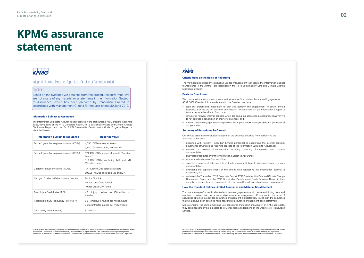# **KPMG assurance statement**

# **KPMG**

#### Independent Limited Assurance Report to the Directors of Transurban Limited

#### **Conclusion**

Based on the evidence we obtained from the procedures performed, we are not aware of any material misstatements in the I nformation Subject to Assurance, which has been prepared by Transurban Limited in accordance with Management Criteria for the year ended 30 June 2019.

#### **Information Subject to Assurance**

The Information Subject to Assurance as presented in the Transurban FY19 Corporate Reporting Suite, comprising of the FY19 Corporate Report, FY19 Sustainability Data and Climate Change Disclosure Report and the FY19 UN Sustainable Development Goals Progress Report is identified below:

| <b>Information Subject to Assurance</b>  | <b>Reported Value</b>                                                                                            |
|------------------------------------------|------------------------------------------------------------------------------------------------------------------|
| Scope 1 greenhouse gas emissions (tCO2e) | 4.050 tCO2e across all assets<br>3,540 tCO2e excluding M5 and M7                                                 |
| Scope 2 greenhouse gas emissions (tCO2e) | 124,433 tCO2e across all assets ("location<br>hased")<br>119,709 tCO2e excluding M5 and M7<br>("location based") |
| Customer travel emissions (tCO2e)        | 1,411,465 tCO2e across all assets<br>993,961 tCO2e excluding M5 and M7                                           |
| Nitrogen Oxides (NOx) emissions (tonnes) | 94t for CityLink<br>45t for Lane Cove Tunnel<br>10t for Cross City Tunnel                                        |
| Road Injury Crash Index (RICI)           | 4.71 injury crashes per 100 million km<br>travelled                                                              |
| Recordable Injury Frequency Rate (RIFR)  | 0.81 employee injuries per million hours<br>3.66 contractor injuries per million hours                           |
| Community investment (\$)                | \$1.8 million                                                                                                    |

© 2019 KPMG, an Australian partnership and a member firm of the KPMG network of independent member firms affiliated with KPMG<br>International Cooperative ("KPMG International"), a Swiss entity. All rights reserved. The KPMG trademarks or trademarks of KPMG International. Liability limited by a scheme approved under Professional Standards Legislation.

#### **KPMG**

#### **Criteria Used as the Basis of Reporting**

The methodologies used by Transurban Limited management to measure the Information Subject to Assurance ("the criteria") are described in the FY19 Sustainability Data and Climate Change Disclosures Report.

#### **Basis for Conclusion**

We conducted our work in accordance with Australian Standard on Assurance Engagements<br>ASAE 3000 (Standard). In accordance with the Standard we have:

- used our professional judgement to plan and perform the engagement to obtain limited assurance that we are not aware of any material misstatements in the Information Subject to Assurance, whether due to fraud or error;
- considered relevant internal controls when designing our assurance procedures, however we do not express a conclusion on their effectiveness; and
- ensured that the engagement team possess the appropriate knowledge, skills and professional competencies.

#### **Summary of Procedures Performed**

Our limited assurance conclusion is based on the evidence obtained from performing the following procedures:

- enquiries with relevant Transurban Limited personnel to understand the internal controls, governance structure and reporting process of the I nformation Subject to Assurance;
- reviews of relevant documentation including reporting frameworks and process documentation;
- analytical procedures over the Information Subject to Assurance;
- site visit to Melbourne CityLink office;
- agreeing a sample of data points from the Information Subject to Assurance back to source documentation;
- evaluating the appropriateness of the criteria with respect to the Information Subject to Assurance; and
- reviewed the Transurban FY19 Corporate Report, FY19 Sustainability Data and Climate Change Disclosures Report and the FY19 Sustainable Development Goals Progress Report in their entirety to ensure they are consistent with our overall knowledge of assurance engagement.

#### **How the Standard Defines Limited Assurance and Material Misstatement**

The procedures performed in a limited assurance engagement vary in nature and timing from, and are less in extent than for a reasonable assurance engagement. Consequently the level of assurance obtained in a limited assurance engagement is substantially lower than the assurance that would have been obtained had a reasonable assurance engagement been performed.

Misstatements, including omissions, are considered material if, individually or in the aggregate, they could reasonably be expected to influence relevant decisions of the Directors of Transurban Limited.

2 2<br>© 2019 KPMG, an Australian partnership and a member firm of the KPMG network of independent member firms affiliated with KPMG<br>International Cooperative ("KPMG International"), a Swiss entity. All rights reserved. The K trademarks or trademarks of KPMG International. Liability limited by a scheme approved under Professional Standards Legislation.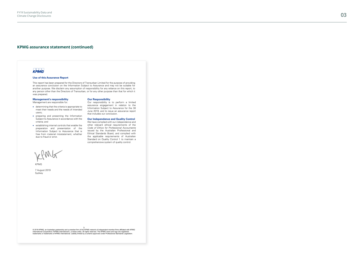#### **KPMG assurance statement (continued)**

#### **KPMG**

#### **Use of this Assurance Report**

This report has been prepared for the Directors of Transurban Limited for the purpose of providing an assurance conclusion on the Information Subject to Assurance and may not be suitable for another purpose. We disclaim any assumption of responsibility for any reliance on this report, to any person other than the Directors of Transurban, or for any other purpose than that for which it was prepared.

#### **Management's responsibility**

Management are responsible for:

- determining that the criteria is appropriate to meet their needs and the needs of intended users;
- preparing and presenting the Information Subject to Assurance in accordance with the criteria; and
- establishing internal controls that enable the preparation and presentation of the Information Subject to Assurance that is free from material misstatement, whether due to fraud or error.

#### **Our Responsibility**

Our responsibility is to perform a limited assurance engagement in relation to the Information Subject to Assurance for the 30 June 2019, and to issue an assurance report that includes our conclusion.

#### **Our Independence and Quality Control**

We have complied with our independence and other relevant ethical requirements of the Code of Ethics for Professional Accountants issued by the Australian Professional and Ethical Standards Board, and complied with the applicable requirements of Australian Standard on Quality Control 1 to maintain a comprehensive system of quality control.

KPMG

7 August 2019 Sydney

S 46 (1991)<br>C 2019 KPMG, an Australian partnership and a member firm of the KPMG network of independent member firms affiliated with KPMG (1996)<br>International Cooperative ("KPMG International"), a Swiss entity. All rights trademarks or trademarks of KPMG International. Liability limited by a scheme approved under Professional Standards Legislation.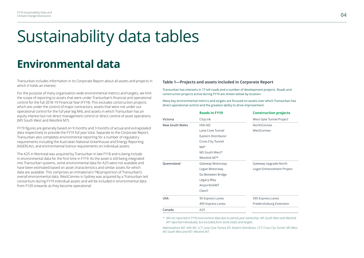# Sustainability data tables

# **Environmental data**

Transurban includes information in its Corporate Report about all assets and projects in which it holds an interest.

For the purpose of many organisation-wide environmental metrics and targets, we limit the scope of reporting to assets that were under Transurban's financial and operational control for the full 2018–19 Financial Year (FY19). This excludes construction projects which are under the control of major contractors, assets that were not under our operational control for the full year (eg M4), and assets in which Transurban has an equity interest but not direct management control or direct control of asset operations (M5 South West and Westlink M7).

FY19 figures are generally based on 9 months and 3 months of actual and extrapolated data respectively to provide the FY19 full year total. Separate to the Corporate Report, Transurban also completes environmental reporting for a number of regulatory requirements including the Australian National Greenhouse and Energy Reporting (NGER) Act, and environmental licence requirements on individual assets.

The A25 in Montreal was acquired by Transurban in late FY18 and is being include in environmental data for the first time in FY19. As the asset is still being integrated into Transurban systems, some environmental data for A25 were not available and have been estimated based on asset characteristics and similar assets for which data are available. This comprises an immaterial (<1%) proportion of Transurban's overall environmental data. WestConnex in Sydney was acquired by a Transurban-led consortium during FY19 individual assets and will be included in environmental data from FY20 onwards as they become operational.

#### **Table 1—Projects and assets included in Corporate Report**

Transurban has interests in 17 toll roads and a number of development projects. Roads and construction projects active during FY19 are shown below by location.

Many key environmental metrics and targets are focused on assets over which Transurban has direct operational control and the greatest ability to drive improvement.

|                        | <b>Roads in FY19</b> | <b>Construction projects</b> |
|------------------------|----------------------|------------------------------|
| Victoria               | CityLink             | West Gate Tunnel Project     |
| <b>New South Wales</b> | Hills M2             | NorthConnex                  |
|                        | Lane Cove Tunnel     | WestConnex                   |
|                        | Eastern Distributor  |                              |
|                        | Cross City Tunnel    |                              |
|                        | $M4*$                |                              |
|                        | M5 South West*       |                              |
|                        | Westlink M7*         |                              |
| Queensland             | Gateway Motorway     | Gateway Upgrade North        |
|                        | Logan Motorway       | Logan Enhancement Project    |
|                        | Go Between Bridge    |                              |
|                        | Legacy Way           |                              |
|                        | AirportlinkM7        |                              |
|                        | Clem7                |                              |
| <b>USA</b>             | 95 Express Lanes     | 395 Express Lanes            |
|                        | 495 Express Lanes    | Fredericksburg Extension     |
| Canada                 | A25                  |                              |
|                        |                      |                              |

*\* M4 not reported in FY19 environment data due to partial year ownership. M5 South West and Westlink M7 reported individually, but excluded from some totals and targets.*

*Abbreviations M2: Hills M2, LCT: Lane Cove Tunnel, ED: Eastern Distributor, CCT: Cross City Tunnel, M5 West: M5 South West and M7: Westlink M7.*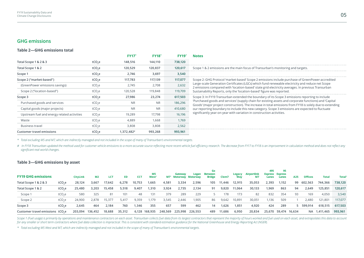### **GHG emissions**

#### **Table 2—GHG emissions total**

|                                             |                    | <b>FY17</b> | <b>FY18</b> | FY19*   | <b>Notes</b>                                                                                                                                                                                                        |
|---------------------------------------------|--------------------|-------------|-------------|---------|---------------------------------------------------------------------------------------------------------------------------------------------------------------------------------------------------------------------|
| Total Scope 1 & 2 & 3                       | tCO,e              | 148.516     | 144.110     | 738,120 |                                                                                                                                                                                                                     |
| Total Scope 1 & 2                           | tCO.e              | 120,529     | 120.837     | 120,617 | Scope 1 & 2 emissions are the main focus of Transurban's monitoring and targets.                                                                                                                                    |
| Scope 1                                     | tCO,e              | 2,746       | 3,697       | 3,540   |                                                                                                                                                                                                                     |
| Scope 2 ("market-based")                    | tCO.e              | 117.783     | 117.139     | 117,077 | Scope 2: GHG Protocol 'market-based' Scope 2 emissions include purchase of GreenPower-accredited                                                                                                                    |
| (GreenPower emissions savings)              | tCO.e              | 2,745       | 2,708       | 2,632   | Large-scale Generation Certificates (LGCs) which fund renewable electricity and reduce net Scope<br>2 emissions compared with 'location-based' state grid electricity averages. In previous Transurban              |
| Scope 2 ("location-based")                  | tCO.e              | 120,528     | 119.848     | 119,709 | Sustainability Reports, only the 'location-based' figure was reported.                                                                                                                                              |
| Scope 3                                     | tCO.e              | 27.986      | 23,274      | 617,503 | Scope 3: In FY19 Transurban extended the boundary of its Scope 3 emissions reporting to include                                                                                                                     |
| Purchased goods and services                | tCO <sub>se</sub>  | <b>NR</b>   | <b>NR</b>   | 186,296 | 'Purchased goods and services' (supply chain for existing assets and corporate functions) and 'Capital<br>Goods' (major project construction). The increase in total emissions from FY18 is solely due to extending |
| Capital goods (major projects)              | tCO,e              | <b>NR</b>   | <b>NR</b>   | 410,680 | our reporting boundary to include this new category. Scope 3 emissions are expected to fluctuate                                                                                                                    |
| Upstream fuel and energy related activities | tCO <sub>se</sub>  | 19.289      | 17.798      | 16,196  | significantly year-on-year with variation in construction activities.                                                                                                                                               |
| Waste                                       | tCO <sub>s</sub> e | 4,889       | 1.668       | 1,769   |                                                                                                                                                                                                                     |
| <b>Business travel</b>                      | tCO.e              | 3.808       | 3.808       | 2,562   |                                                                                                                                                                                                                     |
| <b>Customer travel emissions</b>            | tCO.e              | 1.372.482#  | 993,268     | 993,961 |                                                                                                                                                                                                                     |

*\* Total excluding M5 and M7, which are indirectly managed and not included in the scope of many of Transurban's environmental targets.* 

# In FY18 Transurban updated the method used for customer vehicle emissions to a more accurate source reflecting more recent vehicle fuel efficiency research. The decrease from FY17 to FY18 is an improvement in calculation *significant real-world changes.*

#### **Table 3—GHG emissions by asset**

| <b>FY19 GHG emissions</b>       |                   | <b>CityLink</b> | M2      | LCT    | ED.    | <b>CCT</b> | M5<br>West <sup>*</sup> |         | Gateway<br>M7* Motorway Motorway | Logan   | Go<br><b>Between</b><br><b>Bridge</b> | Clem7  | Legacy<br>Way | Airportlink<br><b>M7</b> | 495<br>Lanes | 95<br><b>Express Express</b><br>Lanes | A25                  | <b>Offices</b> | <b>Total</b> | <b>Total</b> |
|---------------------------------|-------------------|-----------------|---------|--------|--------|------------|-------------------------|---------|----------------------------------|---------|---------------------------------------|--------|---------------|--------------------------|--------------|---------------------------------------|----------------------|----------------|--------------|--------------|
| Total Scope 1 & 2 & 3           | tCO <sub>se</sub> | 28,124          | 3,667   | 17,642 | 6,278  | 10,753     | .665                    | 4,581   | 3,334                            | 2,596   | 105                                   | 11,446 | 12,915        | 35,053                   | 2,393        | 1,152                                 | 99                   | 602,563        | 744.366      | 738,120      |
| Total Scope 1 & 2               | tCO,e             | 25,480          | 3,203   | 15,458 | 5,518  | 9,407      | 1,310                   | 3,924   | 2,735                            | 2,134   | 91                                    | 9,820  | 11,064        | 30,133                   | 1,969        | 863                                   | 94                   | 2,649          | 125,851      | 120,617      |
| Scope 1                         | tCO.e             | 580             | 325     | 81     | 101    | 48         | 131                     | 379     | 289                              | 229     |                                       | 178    | 173           | 82                       | 832          | 354                                   | 93                   | 169            | 4,050        | 3,540        |
| Scope 2                         | tCO <sub>se</sub> | 24,900          | 2,878   | 15,377 | 5.417  | 9,359      | 1.179                   | 3,545   | 2,446                            | ,905    | 86                                    | 9,642  | 10,891        | 30,051                   | .136         | 509                                   |                      | 2,480          | 121,801      | 117,077      |
| Scope 3                         | tCO <sub>se</sub> | 2,645           | 464     | 2.184  | 760    | .346       | 355                     | 657     | 599                              | 462     | 14                                    | .626   | 1,851         | 4,920                    | 424          | 289                                   |                      | 599.914        | 618.515      | 617.503      |
| Customer travel emissions tCO.e |                   | 203,094         | 136,452 | 18,688 | 35,312 | 6,128      | 168,935                 | 248.569 | 225,998                          | 226,553 | 489                                   | 1,686  | 6,950         | 20,834                   |              |                                       | 25,670 59,474 16,634 | NA.            | 1,411,465    | 993,961      |

Scope 1 (Fuel usage) is primarily by operations and maintenance contractors on each asset. Transurban collects fuel data from its largest contractors that represent the majority of hours worked and fuel used on each asset, *for any smaller or short term contractors where fuel data collection is impractical. This is consistent with standard estimation guidance for the National Greenhouse and Energy Reporting Act (NGER).*

*\* Total excluding M5 West and M7, which are indirectly managed and not included in the scope of many of Transurban's environmental targets.*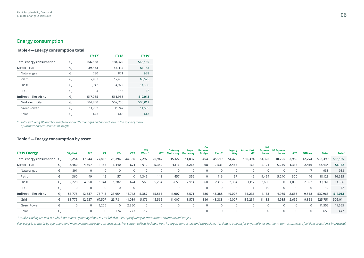## **Energy consumption**

#### **Table 4—Energy consumption total**

|                          |    | <b>FY17*</b>   | <b>FY18*</b> | <b>FY19*</b> |
|--------------------------|----|----------------|--------------|--------------|
| Total energy consumption | GJ | 556,568        | 568,370      | 568,155      |
| Direct-Fuel              | GJ | 39,483         | 53,412       | 51,142       |
| Natural gas              | GJ | 780            | 871          | 938          |
| Petrol                   | GJ | 7,957          | 17,406       | 16,625       |
| Diesel                   | GJ | 30,742         | 34,972       | 33,566       |
| <b>LPG</b>               | GJ | $\overline{4}$ | 163          | 12           |
| Indirect-Electricity     | GJ | 517,085        | 514,958      | 517,013      |
| Grid electricity         | GJ | 504,850        | 502,766      | 505,011      |
| GreenPower               | GJ | 11,762         | 11,747       | 11,555       |
| Solar                    | GJ | 473            | 445          | 447          |

*\* Total excluding M5 and M7, which are indirectly managed and not included in the scope of many of Transurban's environmental targets.*

#### **Table 5—Energy consumption by asset**

| <b>FY19 Energy</b>       |    | <b>CityLink</b> | <b>M2</b>      | LCT      | <b>ED</b>   | CC1      | M <sub>5</sub><br>West <sup>*</sup> | <b>M7</b>   | Gateway<br>Motorway Motorway | Logan  | Go<br><b>Betwen</b><br><b>Bridge</b> | Clem7       | Legacy<br>Way | <b>Airportlink</b><br><b>M7</b> | 495<br>Express<br>Lanes | 95 Express<br>Lanes | A25         | <b>Offices</b> | <b>Total</b> | <b>Total</b> |
|--------------------------|----|-----------------|----------------|----------|-------------|----------|-------------------------------------|-------------|------------------------------|--------|--------------------------------------|-------------|---------------|---------------------------------|-------------------------|---------------------|-------------|----------------|--------------|--------------|
| Total energy consumption | GI | 92,254          | 17,244         | 77,866   | 25,394      | 44,386   | 7,297                               | 20,947      | 15,122                       | 11,837 | 454                                  | 45,919      | 51,470        | 136,394                         | 23,326                  | 10,225              | 3,989       | 12,274         | 596,399      | 568,155      |
| Direct-Fuel              | GI | 8,480           | 4,607          | 1,153    | 1,440       | 674      | 1.910                               | 5,382       | 4,116                        | 3,266  | 68                                   | 2,531       | 2,463         | 1,163                           | 12,194                  | 5,240               | 1,333       | 2,416          | 58,434       | 51,142       |
| Natural gas              | GJ | 891             | $\Omega$       |          |             | $\Omega$ | $\mathbf 0$                         | $\Omega$    | $\mathbf 0$                  |        |                                      | $\mathbf 0$ |               |                                 |                         |                     | $\Omega$    | 47             | 938          | 938          |
| Petrol                   | GJ | 360             | 49             | 12       | 57          | $\Omega$ | ,349                                | 148         | 457                          | 352    | 0                                    | 116         | 97            | 46                              | 9,494                   | 5,240               | 300         | 46             | 18,123       | 16,625       |
| Diesel                   | GI | 7,228           | 4,558          | 1.141    | 1,382       | 674      | 560                                 | 5,234       | 3,659                        | 2,914  | 68                                   | 2,415       | 2,364         | 1,117                           | 2,690                   | $\overline{0}$      | 1,033       | 2,322          | 39,361       | 33,566       |
| <b>LPG</b>               | GJ | $\Omega$        | $\mathbf{0}$   | $\Omega$ |             |          | $\mathbf 0$                         | $\Omega$    | $\mathbf 0$                  |        | $\Omega$                             | $\Omega$    |               |                                 | 10                      |                     | 0           |                | 12           | 12           |
| Indirect-Electricity     | GI | 83,775          | 12,637         | 76.713   | 23,954      | 43,712   | 5,387                               | 15,565      | 11,007                       | 8,571  | 386                                  | 43,388      | 49,007        | 135,231                         | 11,133                  | 4,985               | 2,656       | 9,858          | 537,965      | 517,013      |
| Grid                     | GI | 83,775          | 12,637         | 67,507   | 23,781      | 41,089   | 5,176                               | 15,565      | 11,007                       | 8,571  | 386                                  | 43,388      | 49,007        | 135,231                         | 11,133                  | 4,985               | 2,656       | 9,858          | 525,751      | 505,011      |
| GreenPower               | GI | 0               | $\overline{0}$ | 9,206    | $\mathbf 0$ | 2,350    | $\mathbf 0$                         | $\mathbf 0$ | $\mathbf 0$                  |        | $\Omega$                             | $\mathbf 0$ |               | 0                               |                         | $\mathbf 0$         | 0           | $\overline{0}$ | 11,555       | 11,555       |
| Solar                    | GI | 0               | $\Omega$       | $\Omega$ | 174         | 273      | 212                                 | 0           |                              |        | $\Omega$                             | $\Omega$    |               | 0                               |                         |                     | $\mathbf 0$ |                | 659          | 447          |

*\* Total excluding M5 and M7, which are indirectly managed and not included in the scope of many of Transurban's environmental targets.* 

Fuel usage is primarily by operations and maintenance contractors on each asset. Transurban collects fuel data from its largest contractors and extrapolates this data to account for any smaller or short term contractors wh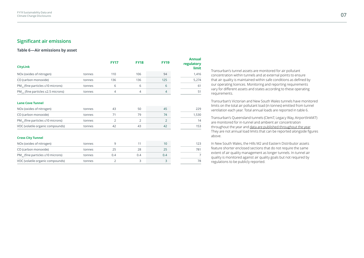### **Significant air emissions**

#### **Table 6—Air emissions by asset**

| <b>CityLink</b>                               |        | <b>FY17</b>    | <b>FY18</b>    | <b>FY19</b>    | <b>Annual</b><br>regulatory<br>limit |
|-----------------------------------------------|--------|----------------|----------------|----------------|--------------------------------------|
| NOx (oxides of nitrogen)                      | tonnes | 110            | 106            | 94             | 1,416                                |
| CO (carbon monoxide)                          | tonnes | 136            | 136            | 125            | 5,274                                |
| $PM_{10}$ (fine particles $\leq 10$ microns)  | tonnes | 6              | 6              | 6              | 61                                   |
| $PM_{25}$ (fine particles $\leq$ 2.5 microns) | tonnes | 4              | $\overline{4}$ | 4              | 51                                   |
| <b>Lane Cove Tunnel</b>                       |        |                |                |                |                                      |
| NOx (oxides of nitrogen)                      | tonnes | 43             | 50             | 45             | 229                                  |
| CO (carbon monoxide)                          | tonnes | 71             | 79             | 74             | 1,530                                |
| $PM_{10}$ (fine particles $\leq 10$ microns)  | tonnes | 2              | 2              | $\overline{2}$ | 14                                   |
| VOC (volatile organic compounds)              | tonnes | 42             | 43             | 42             | 153                                  |
| <b>Cross City Tunnel</b>                      |        |                |                |                |                                      |
| NOx (oxides of nitrogen)                      | tonnes | 9              | 11             | 10             | 123                                  |
| CO (carbon monoxide)                          | tonnes | 25             | 28             | 25             | 781                                  |
| $PM_{10}$ (fine particles $\leq 10$ microns)  | tonnes | 0.4            | 0.4            | 0.4            | $\overline{7}$                       |
| VOC (volatile organic compounds)              | tonnes | $\overline{2}$ | 3              | 3              | 78                                   |

Transurban's tunnel assets are monitored for air pollutant concentration within tunnels and at external points to ensure that air quality is maintained within safe conditions as defined by our operating licences. Monitoring and reporting requirements vary for different assets and states according to these operating requirements.

Transurban's Victorian and New South Wales tunnels have monitored limits on the total air pollutant load (in tonnes) emitted from tunnel ventilation each year. Total annual loads are reported in table 6.

Transurban's Queensland tunnels (Clem7, Legacy Way, AirportlinkM7) are monitored for in-tunnel and ambient air concentration throughout the year and [data are published throughout the year.](http://brisbanenetwork.linkt.com.au/sustainability/) They are not annual load limits that can be reported alongside figures above.

In New South Wales, the Hills M2 and Eastern Distributor assets feature shorter enclosed sections that do not require the same extent of air quality management as longer tunnels. In-tunnel air quality is monitored against air quality goals but not required by regulations to be publicly reported.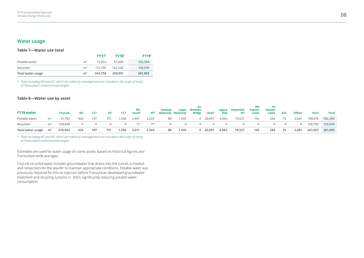### **Water usage**

#### **Table 7—Water use total**

|                   |                | <b>FY17*</b> | <b>FY18</b> * | $FY19^*$ |
|-------------------|----------------|--------------|---------------|----------|
| Potable water     | m <sup>3</sup> | 72.053       | 97.409        | 102,394  |
| Recycled          | m <sup>3</sup> | 172.705      | 162.542       | 158,699  |
| Total water usage | m <sup>3</sup> | 244.758      | 259.951       | 261,093  |

*\* Total excluding M5 and M7, which are indirectly managed and not included in the scope of many of Transurban's environmental targets* 

#### **Table 8—Water use by asset**

| <b>FY19 water</b> |                | <b>CityLink</b> | <b>M2</b> | <b>LCT</b> | ED. | <b>CCT</b> | M5<br>South <sup>*</sup> | M7*   | Gateway<br><b>Motorway Motorway</b> | Logan | Go<br>Between<br><b>Bridge</b> | <b>Clem7</b>    | Legacy<br>Way | Airportlink<br>M7 | 495<br><b>Express</b><br>Lanes | 95<br><b>Express</b><br>Lanes | A25 | <b>Offices</b> | <b>Total</b> | Total <sup>*</sup> |
|-------------------|----------------|-----------------|-----------|------------|-----|------------|--------------------------|-------|-------------------------------------|-------|--------------------------------|-----------------|---------------|-------------------|--------------------------------|-------------------------------|-----|----------------|--------------|--------------------|
| Potable water     | m <sup>3</sup> | 51.763          | 424       | 197        | 751 | ,356       | 2,997                    | 3,225 | 88                                  | ,545  |                                | $0\quad 20,057$ | 4,063         | 19,537            | 192                            | 284                           | 75  | 2,061          | 108,616      | 102,394            |
| Recycled          | m <sup>3</sup> | 158.699         |           |            |     |            | 13                       |       |                                     |       |                                |                 |               |                   |                                | $\Omega$                      |     |                | 158,790      | 158,699            |
| Total water usage | $\mathsf{m}^3$ | 210,462         | 424       | 197        | 751 | 1,356      | 3,011                    | 3,303 | 88                                  | 1,545 |                                | $0$ 20,057      | 4,063         | 19,537            | 192                            | 284                           | 75  | 2,061          | 267,407      | 261,093            |

*\* Total excluding M5 and M7, which are indirectly managed and not included in the scope of many of Transurban's environmental targets* 

Estimates are used for water usage on some assets based on historical figures and Transurban-wide averages.

CityLink recycled water includes groundwater that drains into the tunnel, is treated and reinjected into the aquifer to maintain appropriate conditions. Potable water was previously required for this re-injection before Transurban developed groundwater treatment and recycling systems in 2003, significantly reducing potable water consumption.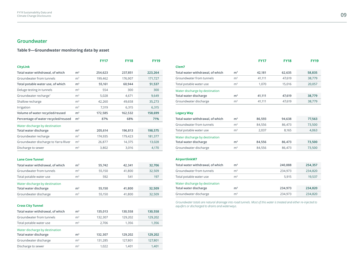## **Groundwater**

#### **Table 9—Groundwater monitoring data by asset**

|                                      |                | <b>FY17</b> | <b>FY18</b> | <b>FY19</b> |
|--------------------------------------|----------------|-------------|-------------|-------------|
| <b>CityLink</b>                      |                |             |             |             |
| Total water withdrawal, of which     | m <sup>3</sup> | 254,623     | 237,851     | 223,264     |
| Groundwater from tunnels             | m <sup>3</sup> | 199,462     | 176,907     | 171,727     |
| Total potable water use, of which    | m <sup>3</sup> | 55,161      | 60,944      | 51,537      |
| Deluge testing in tunnels            | m <sup>3</sup> | 554         | 300         | 300         |
| Groundwater recharge*                | m <sup>3</sup> | 5,028       | 4,671       | 9,649       |
| Shallow recharge                     | m <sup>3</sup> | 42,260      | 49,658      | 35,273      |
| Irrigation                           | m <sup>3</sup> | 7,319       | 6,315       | 6,315       |
| Volume of water recycled/reused      | m <sup>3</sup> | 172,585     | 162,532     | 158,699     |
| Percentage of water recycled/reused  | m <sup>3</sup> | 87%         | 68%         | 71%         |
| Water discharge by destination       |                |             |             |             |
| Total water discharge                | m <sup>3</sup> | 205,614     | 196,813     | 198,575     |
| Groundwater recharge                 | m <sup>3</sup> | 174,935     | 179,423     | 181,377     |
| Groundwater discharge to Yarra River | m <sup>3</sup> | 26,877      | 14,375      | 13,028      |
| Discharge to sewer                   | m <sup>3</sup> | 3,802       | 3,016       | 4,170       |
| <b>Lane Cove Tunnel</b>              |                |             |             |             |
| Total water withdrawal, of which     | m <sup>3</sup> | 55,742      | 42,341      | 32,706      |
| Groundwater from tunnels             | m <sup>3</sup> | 55,150      | 41,800      | 32,509      |
| Total potable water use              | m <sup>3</sup> | 592         | 541         | 197         |
| Water discharge by destination       |                |             |             |             |
| Total water discharge                | m <sup>3</sup> | 55,150      | 41,800      | 32,509      |
| Groundwater discharge                | m <sup>3</sup> | 55,150      | 41,800      | 32,509      |

| <b>Cross City Tunnel</b> |  |
|--------------------------|--|
|--------------------------|--|

| Total water withdrawal, of which | m <sup>3</sup> | 135,013 | 130,558 | 130,558 |
|----------------------------------|----------------|---------|---------|---------|
| Groundwater from tunnels         | m <sup>3</sup> | 132,307 | 129,202 | 129,202 |
| Total potable water use          | m <sup>3</sup> | 2.706   | 1,356   | 1,356   |
| Water discharge by destination   |                |         |         |         |
| Total water discharge            | m <sup>3</sup> | 132,307 | 129.202 | 129.202 |
| Groundwater discharge            | m <sup>3</sup> | 131,285 | 127.801 | 127,801 |
| Discharge to sewer               | m <sup>3</sup> | 1.022   | 1.401   | 1.401   |

|                                  |                | <b>FY17</b> | <b>FY18</b> | <b>FY19</b> |
|----------------------------------|----------------|-------------|-------------|-------------|
| Clem7                            |                |             |             |             |
| Total water withdrawal, of which | m <sup>3</sup> | 42,181      | 62,635      | 58,835      |
| Groundwater from tunnels         | m <sup>3</sup> | 41,111      | 47,619      | 38,779      |
| Total potable water use          | m <sup>3</sup> | 1,070       | 15,016      | 20,057      |
| Water discharge by destination   |                |             |             |             |
| Total water discharge            | m <sup>3</sup> | 41,111      | 47,619      | 38,779      |
| Groundwater discharge            | m <sup>3</sup> | 41,111      | 47,619      | 38,779      |
| <b>Legacy Way</b>                |                |             |             |             |
| Total water withdrawal, of which | m <sup>3</sup> | 86,593      | 94,638      | 77,563      |
| Groundwater from tunnels         | m <sup>3</sup> | 84,556      | 86,473      | 73,500      |
| Total potable water use          | m <sup>3</sup> | 2,037       | 8,165       | 4,063       |
| Water discharge by destination   |                |             |             |             |
| Total water discharge            | m <sup>3</sup> | 84,556      | 86,473      | 73,500      |
| Groundwater discharge            | m <sup>3</sup> | 84,556      | 86,473      | 73,500      |
| AirportlinkM7                    |                |             |             |             |
| Total water withdrawal, of which | m <sup>3</sup> |             | 240,888     | 254,357     |
| Groundwater from tunnels         | m <sup>3</sup> |             | 234,973     | 234,820     |
| Total potable water use          | m <sup>3</sup> |             | 5,915       | 19,537      |
| Water discharge by destination   |                |             |             |             |

**Total water discharge m3 234,973 234,820** Groundwater discharge m<sup>3</sup> m<sup>3</sup> 234,973 234,820

Groundwater totals are natural drainage into road tunnels. Most of this water is treated and either re-injected to *aquifers or discharged to drains and waterways.*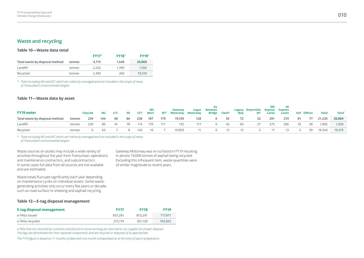## **Waste and recycling**

#### **Table 10—Waste data total**

|                                 |        | $FY17^*$ | <b>FY18</b> * | $FY19^*$ |
|---------------------------------|--------|----------|---------------|----------|
| Total waste by disposal method: | tonnes | 4.715    | 1.649         | 20.869   |
| Landfill                        | tonnes | 2.222    | 1.390         | 1.550    |
| Recycled                        | tonnes | 2.493    | 260           | 19.319   |

*\* Total excluding M5 and M7, which are indirectly managed and not included in the scope of many of Transurban's environmental targets* 

#### **Table 11—Waste data by asset**

| <b>FY19 water</b>               |        | CityLink | M2  | <b>LCT</b> | ED | CCT | M5<br><b>West</b> * | <b>M7*</b> | Gateway<br>Motorway | Logan<br><b>Motorway</b> | <b>Between</b> | Bridge Clem7 | Wav | Legacy Airportlink<br>M7 | 495<br>Lanes | - 95<br>Express Express<br>Lanes |    | A25 Offices | <b>Total</b> | Total* |
|---------------------------------|--------|----------|-----|------------|----|-----|---------------------|------------|---------------------|--------------------------|----------------|--------------|-----|--------------------------|--------------|----------------------------------|----|-------------|--------------|--------|
| Total waste by disposal method: | tonnes | 239      | 144 | 48         | 86 | 238 | 187                 | 179        | 19,159              | 128                      | $\Omega$       | 55           | 72  | 32                       | 291          | 219                              | 81 | - 77        | 21.235       | 20,869 |
| Landfill                        | tonnes | 239      | -80 | 41         | 78 | 114 | 170                 | 171        | 155                 | 117                      | $\Omega$       | - 42         | 60  | 27                       | 275          | 206                              | 76 | 38          | 1,892        | 1,550  |
| Recycled                        | tonnes |          | 63. |            |    | 124 | 16                  |            | 19,003              | -11                      | $\Omega$       | 12           | 12  |                          | 17           | 13                               |    | 39          | 19.343       | 19,319 |

*\* Total excluding M5 and M7, which are indirectly managed and not included in the scope of many of Transurban's environmental targets* 

Waste sources on assets may include a wide variety of activities throughout the year from Transurban, operations and maintenance contractors, and subcontractors. In some cases full data from all sources are not available and are estimated.

in almost 19,000 tonnes of asphalt being recycled. Excluding this infrequent item, waste quantities were of similar magnitude to recent years.

Gateway Motorway was re-surfaced in FY19 resulting

Waste totals fluctuate significantly each year depending on maintenance cycles on individual assets. Some wastegenerating activities only occur every few years or decade, such as road surface re-sheeting and asphalt recycling.

#### **Table 12—E-tag disposal management**

| E-tag disposal management | <b>FY17</b> | <b>FY18</b> | <b>FY19</b> |
|---------------------------|-------------|-------------|-------------|
| e-TAGs issued             | 837.281     | 813.291     | 717.971     |
| e-TAGs recycled           | 215.174     | 201.128     | 165.832     |

e-TAGs that are returned by customers and found to not be working are returned to our supplier for proper disposal. *The tags are dismantled into their separate components and are recycled or disposed of as appropriate.*

The FY19 figure is based on 11 months of data with one month extrapolated as at the time of report preparation.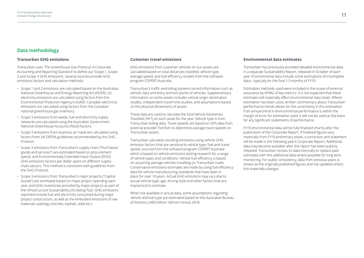## **Data methodology**

#### **Transurban GHG emissions**

Transurban uses 'The Greenhouse Gas Protocol: A Corporate Accounting and Reporting Standard' to define our Scope 1, Scope 2 and Scope 3 GHG emissions. Several sources provide GHG emissions factors and calculation methods:

- Scope 1 and 2 emissions are calculated based on the Australian National Greenhouse and Energy Reporting Act (NGER). US electricity emissions are calculated using factors from the Environmental Protection Agency's eGRID. Canadian electricity emissions are calculated using factors from the Canadian national greenhouse gas inventory.
- Scope 3 emissions from waste, fuel and electricity supply networks are calculated using the Australian Government National Greenhouse Accounts (NGA) Factors.
- Scope 3 emissions from business air travel are calculated using factors from UK DEFRA guidelines recommended by the GHG Protocol.
- Scope 3 emissions from Transurban's supply chain ("Purchased goods and services") are estimated based on procurement spend, and Environmentally Extended Input-Output (EEIO) GHG emissions factors per dollar spent on different supply chain sectors. This method is consistent with guidelines from the GHG Protocol.
- Scope 3 emissions from Transurban's major projects ("Capital Goods") are estimated based on major project spending each year, and GHG inventories provided by major projects as part of the Infrastructure Sustainability (IS) Rating Tool. GHG emissions reported include fuel and electricity consumed during major project construction, as well as the embodied emissions of raw materials used (eg concrete, asphalt, steel etc.)

#### **Customer travel emissions**

GHG emissions from customer vehicles on our assets are calculated based on total distances travelled, vehicle type, average speed, and fuel efficiency models from the software program COPERT Australia.

Transurban's traffic and tolling systems record information such as vehicle class and entry and exit points of vehicles. Supplementary information on some assets includes vehicle origin-destination studies, independent travel time studies, and assumptions based on the physical dimensions of assets.

These data are used to calculate the total Vehicle Kilometres Travelled (VKT) on each asset for the year. Vehicle type is from Transurban tolling data. Travel speeds are based on GPS data from external provider TomTom to determine average travel speeds on Transurban assets.

Transurban calculates resulting emissions using vehicle GHG emission factors that are sensitive to vehicle type, fuel and travel speed, sourced from the software program COPERT Australia which is based on vehicle emissions testing research for a range of vehicle types and conditions. Vehicle fuel efficiency is based on assuming average vehicles travelling on Transurban roads. Conservative emissions estimates are made by using fuel efficiency data for vehicle manufacturing standards that have been in place for over 10 years. Actual GHG emissions may vary due to actual vehicle type, age, driving style and other factors that are impractical to estimate.

When not available in actual data, some assumptions regarding vehicle and fuel type are estimated based on the Australian Bureau of Statistics (ABS) Motor Vehicle Census 2018.

#### **Environmental data estimates**

Transurban has previously provided detailed environmental data in a separate Sustainability Report, released in October of each year. Environmental data include some estimations of incomplete data—typically for the final 1-3 months of FY19.

Estimation methods used were included in the scope of external assurance by KPMG of key metrics. It is not expected that these estimates will materially affect environmental data totals. Where estimation has been used, written commentary about Transurban performance trends allows for the uncertainty in this estimation. If an annual trend in environmental performance is within the margin of error for estimation used, it will not be used as the basis for any significant statements of performance.

FY19 environmental data will be fully finalised shortly after the publication of the Corporate Report. If finalised figures vary materially from FY19 preliminary totals, a correction and statement will be made in the following year's Corporate Report. Additional data may become available after the report has been publicly released. Transurban revises its data internally to replace past estimates with this additional data where possible for long term monitoring. For public consistency, data from previous years is shown as the originally published figures and not updated unless this materially changes.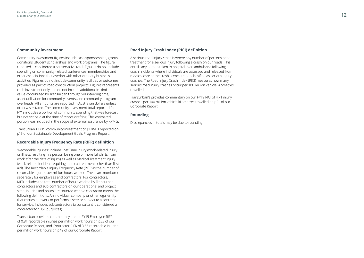#### **Community investment**

Community investment figures include cash sponsorships, grants, donations, student scholarships and work programs. The figure reported is considered a conservative total. Figures do not include spending on community-related conferences, memberships and other associations that overlap with other ordinary business activities. Figures do not include community facilities or outcomes provided as part of road construction projects. Figures represents cash investment only and do not include additional in-kind value contributed by Transurban through volunteering time, asset utilisation for community events, and community program overheads. All amounts are reported in Australian dollars unless otherwise stated. The community investment total reported for FY19 includes a portion of community spending that was forecast but not yet paid at the time of report drafting. This estimated portion was included in the scope of external assurance by KPMG.

Transurban's FY19 community investment of \$1.8M is reported on p15 of our Sustainable Development Goals Progress Report.

#### **Recordable Injury Frequency Rate (RIFR) definition**

"Recordable injuries" include Lost Time Injury (work-related injury or illness resulting in a person losing one or more full shifts from work after the date of injury) as well as Medical Treatment Injury (work-related incident requiring medical treatment other than first aid). The Recordable Injury Frequency Rate (RIFR) is the number of recordable injuries per million hours worked. These are monitored separately for employees and contractors. For contractors, RIFR includes the total number of hours worked by Transurban contractors and sub-contractors on our operational and project sites. Injuries and hours are counted when a contractor meets the following definitions: An individual, company or other legal entity that carries out work or performs a service subject to a contract for service. Includes subcontractors (a consultant is considered a contractor for HSE purposes).

Transurban provides commentary on our FY19 Employee RIFR of 0.81 recordable injuries per million work hours on p33 of our Corporate Report, and Contractor RIFR of 3.66 recordable injuries per million work hours on p42 of our Corporate Report.

#### **Road Injury Crash Index (RICI) definition**

A serious road injury crash is where any number of persons need treatment for a serious injury following a crash on our roads. This entails any person taken to hospital in an ambulance following a crash. Incidents where individuals are assessed and released from medical care at the crash scene are not classified as serious injury crashes. The Road Injury Crash Index (RICI) measures how many serious road injury crashes occur per 100 million vehicle kilometres travelled.

Transurban's provides commentary on our FY19 RICI of 4.71 injury crashes per 100 million vehicle kilometres travelled on p21 of our Corporate Report.

#### **Rounding**

Discrepancies in totals may be due to rounding.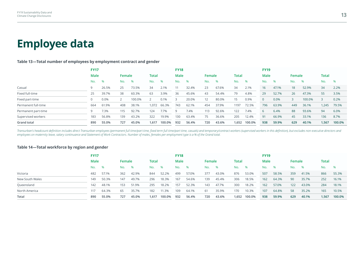# **Employee data**

#### **Table 13—Total number of employees by employment contract and gender**

|                     | <b>FY17</b> |       |        |        |       |        | <b>FY18</b> |       |                 |       |              |        | <b>FY19</b>  |       |        |        |       |        |
|---------------------|-------------|-------|--------|--------|-------|--------|-------------|-------|-----------------|-------|--------------|--------|--------------|-------|--------|--------|-------|--------|
|                     | Male        |       | Female |        | Total |        | Male        |       | Female          |       | <b>Total</b> |        | Male         |       | Female |        | Total |        |
|                     | No.         | %     | No.    | %      | No.   | %      | No.         | %     | No.             | %     | No.          | %      | No.          | %     | No.    | $\%$   | No.   | $\%$   |
| Casual              | 9           | 26.5% | 25     | 73.5%  | 34    | 2.1%   | 11          | 32.4% | 23              | 67.6% | 34           | 2.1%   | 16           | 47.1% | 18     | 52.9%  | 34    | 2.2%   |
| Fixed full-time     | 25          | 39.7% | 38     | 60.3%  | 63    | 3.9%   | 36          | 45.6% | 43              | 54.4% | 79           | 4.8%   | 29           | 52.7% | 26     | 47.3%  | 55    | 3.5%   |
| Fixed part-time     | 0           | 0.0%  |        | 100.0% |       | 0.1%   |             | 20.0% | 12 <sup>2</sup> | 80.0% | 15           | 0.9%   | $\mathbf{0}$ | 0.0%  | 3      | 100.0% |       | 0.2%   |
| Permanent full-time | 664         | 61.9% | 408    | 38.1%  | 1,072 | 66.3%  | 743         | 62.1% | 454             | 37.9% | 1197         | 72.5%  | 796          | 63.9% | 449    | 36.1%  | 1,245 | 79.5%  |
| Permanent part-time | 9           | 7.3%  | 115    | 92.7%  | 124   | 7.7%   | 9           | 7.4%  | 113             | 92.6% | 122          | 7.4%   | 6            | 6.4%  | 88     | 93.6%  | 94    | 6.0%   |
| Supervised workers  | 183         | 56.8% | 139    | 43.2%  | 322   | 19.9%  | 130         | 63.4% | 75              | 36.6% | 205          | 12.4%  | 91           | 66.9% | 45     | 33.1%  | 136   | 8.7%   |
| <b>Grand total</b>  | 890         | 55.0% | 727    | 45.0%  | 1,617 | 100.0% | 932         | 56.4% | 720             | 43.6% | 1,652        | 100.0% | 938          | 59.9% | 629    | 40.1%  | 1,567 | 100.0% |

Transurban's headcount definition includes direct Transurban employees (permanent full time/part time, fixed term full time/part time, casuals) and temporary/contract workers (supervised workers in this definition), but ex *employees on maternity leave, salary continuance and Statement of Work Contractors. Number of males, females per employment type is a % of the Grand total.*

#### **Table 14—Total workforce by region and gender**

|                 | <b>FY17</b> |       |        |       |              |        | <b>FY18</b> |       |        |       |       |        | <b>FY19</b> |       |        |       |              |        |
|-----------------|-------------|-------|--------|-------|--------------|--------|-------------|-------|--------|-------|-------|--------|-------------|-------|--------|-------|--------------|--------|
|                 | Male        |       | Female |       | <b>Total</b> |        | Male        |       | Female |       | Total |        | Male        |       | Female |       | <b>Total</b> |        |
|                 | No.         | %     | No.    | %     | No.          | %      | No.         | %     | No.    | %     | No.   | $\%$   | No.         | %     | No.    | %     | No.          | $\%$   |
| Victoria        | 482         | 57.1% | 362    | 42.9% | 844          | 52.2%  | 499         | 57.0% | 377    | 43.0% | 876   | 53.0%  | 507         | 58.5% | 359    | 41.5% | 866          | 55.3%  |
| New South Wales | 149         | 50.3% | 147    | 49.7% | 296          | 18.3%  | 167         | 54.6% | 139    | 45.4% | 306   | 18.5%  | 162         | 64.3% | 90     | 35.7% | 252          | 16.1%  |
| Queensland      | 142         | 48.1% | 153    | 51.9% | 295          | 18.2%  | 157         | 52.3% | 143    | 47.7% | 300   | 18.2%  | 162         | 57.0% | 122    | 43.0% | 284          | 18.1%  |
| North America   | 117         | 64.3% | 65     | 35.7% | 182          | 11.3%  | 109         | 64.1% | 61     | 35.9% | 170   | 10.3%  | 107         | 64.8% | 58     | 35.2% | 165          | 10.5%  |
| Total           | 890         | 55.0% | 727    | 45.0% | 1.617        | 100.0% | 932         | 56.4% | 720    | 43.6% | 1,652 | 100.0% | 938         | 59.9% | 629    | 40.1% | 1,567        | 100.0% |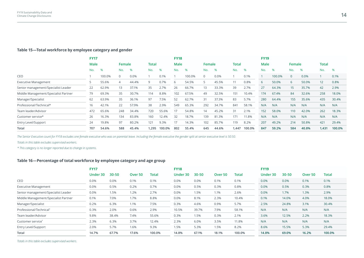#### **Table 15—Total workforce by employee category and gender**

|                                      | <b>FY17</b> |        |                |       |              |        | <b>FY18</b> |        |             |       |              |        | <b>FY19</b> |        |          |       |                 |        |
|--------------------------------------|-------------|--------|----------------|-------|--------------|--------|-------------|--------|-------------|-------|--------------|--------|-------------|--------|----------|-------|-----------------|--------|
|                                      | <b>Male</b> |        | Female         |       | <b>Total</b> |        | <b>Male</b> |        | Female      |       | <b>Total</b> |        | Male        |        | Female   |       | Total           |        |
|                                      | No.         | %      | No.            | %     | No.          | %      | No.         | %      | No.         | $\%$  | No.          | %      | No.         | %      | No.      | %     | No.             | %      |
| CEO                                  |             | 100.0% | $\mathbf 0$    | 0.0%  |              | 0.1%   |             | 100.0% | $\mathbf 0$ | 0.0%  |              | 0.1%   |             | 100.0% | $\Omega$ | 0.0%  |                 | 0.1%   |
| <b>Executive Management</b>          |             | 55.6%  | $\overline{4}$ | 44.4% | 9            | 0.7%   | 6           | 54.5%  | 5           | 45.5% | 11           | 0.8%   | 6           | 50.0%  | 6        | 50.0% | 12 <sup>2</sup> | 0.8%   |
| Senior management/Specialist Leader  | 22          | 62.9%  | 13             | 37.1% | 35           | 2.7%   | 26          | 66.7%  | 13          | 33.3% | 39           | 2.7%   | 27          | 64.3%  | 15       | 35.7% | 42              | 2.9%   |
| Middle Management/Specialist Partner | 79          | 69.3%  | 35             | 30.7% | 114          | 8.8%   | 102         | 67.5%  | 49          | 32.5% | 151          | 10.4%  | 174         | 67.4%  | 84       | 32.6% | 258             | 18.0%  |
| Manager/Specialist                   | 62          | 63.9%  | 35             | 36.1% | 97           | 7.5%   | 52          | 62.7%  | 31          | 37.3% | 83           | 5.7%   | 280         | 64.4%  | 155      | 35.6% | 435             | 30.4%  |
| Professional/Technical*              | 16          | 42.1%  | 22             | 57.9% | 38           | 2.9%   | 549         | 65.3%  | 292         | 34.7% | 841          | 58.1%  | N/A         | N/A    | N/A      | N/A   | N/A             | N/A    |
| Team leader/Advisor                  | 472         | 65.6%  | 248            | 34.4% | 720          | 55.6%  | 17          | 54.8%  | 14          | 45.2% | 31           | 2.1%   | 152         | 58.0%  | 110      | 42.0% | 262             | 18.3%  |
| Customer service*                    | 26          | 16.3%  | 134            | 83.8% | 160          | 12.4%  | 32          | 18.7%  | 139         | 81.3% | 171          | 11.8%  | N/A         | N/A    | N/A      | N/A   | N/A             | N/A    |
| <b>Entry Level/Support</b>           | 24          | 19.8%  | 97             | 80.2% | 121          | 9.3%   | 17          | 14.3%  | 102         | 85.7% | 119          | 8.2%   | 207         | 49.2%  | 214      | 50.8% | 421             | 29.4%  |
| Total                                | 707         | 54.6%  | 588            | 45.4% | 1,295        | 100.0% | 802         | 55.4%  | 645         | 44.6% | 1,447        | 100.0% | 847         | 59.2%  | 584      | 40.8% | 1,431           | 100.0% |

*The Senior Executive count for FY18 excludes one female executive who was on parental leave. Including the female executive the gender split at senior executive level is 50:50.*

*Totals in this table excludes supervised workers.* 

*\* This category is no longer reported due to change in systems.*

#### **Table 16—Percentage of total workforce by employee category and age group**

|                                      | <b>FY17</b> |           |                    |        | <b>FY18</b> |           |                    |        | <b>FY19</b> |           |                    |        |
|--------------------------------------|-------------|-----------|--------------------|--------|-------------|-----------|--------------------|--------|-------------|-----------|--------------------|--------|
|                                      | Under 30    | $30 - 50$ | Over <sub>50</sub> | Total  | Under 30    | $30 - 50$ | Over <sub>50</sub> | Total  | Under 30    | $30 - 50$ | Over <sub>50</sub> | Total  |
| CEO                                  | 0.0%        | 0.0%      | 0.1%               | 0.1%   | 0.0%        | 0.0%      | 0.1%               | 0.1%   | 0.0%        | 0.0%      | 0.1%               | 0.1%   |
| <b>Executive Management</b>          | 0.0%        | 0.5%      | 0.2%               | 0.7%   | 0.0%        | 0.5%      | 0.3%               | 0.8%   | 0.0%        | 0.5%      | 0.3%               | 0.8%   |
| Senior management/Specialist Leader  | 0.0%        | 1.5%      | 1.2%               | 2.7%   | 0.0%        | 1.5%      | 1.1%               | 2.6%   | 0.0%        | 1.7%      | 1.3%               | 2.9%   |
| Middle Management/Specialist Partner | 0.1%        | 7.0%      | 1.7%               | 8.8%   | 0.0%        | 8.1%      | 2.3%               | 10.4%  | 0.1%        | 14.0%     | 4.0%               | 18.0%  |
| Manager/Specialist                   | 0.2%        | 6.3%      | 1.1%               | 7.5%   | 0.3%        | 4.6%      | 0.9%               | 5.7%   | 2.5%        | 24.8%     | 3.1%               | 30.4%  |
| Professional/Technical*              | 0.3%        | 2.0%      | 0.6%               | 2.9%   | 10.5%       | 39.7%     | 7.9%               | 58.1%  | N/A         | N/A       | N/A                | N/A    |
| Team leader/Advisor                  | 9.8%        | 38.4%     | 7.4%               | 55.6%  | 0.3%        | 1.5%      | 0.3%               | 2.1%   | 3.6%        | 12.5%     | 2.2%               | 18.3%  |
| Customer service*                    | 2.3%        | 6.3%      | 3.7%               | 12.4%  | 2.3%        | 6.0%      | 3.5%               | 11.8%  | N/A         | N/A       | N/A                | N/A    |
| <b>Entry Level/Support</b>           | 2.0%        | 5.7%      | 1.6%               | 9.3%   | 1.5%        | 5.3%      | 1.5%               | 8.2%   | 8.6%        | 15.5%     | 5.3%               | 29.4%  |
| <b>Total</b>                         | 14.7%       | 67.7%     | 17.6%              | 100.0% | 14.8%       | 67.1%     | 18.1%              | 100.0% | 14.8%       | 69.0%     | 16.2%              | 100.0% |

*Totals in this table excludes supervised workers.*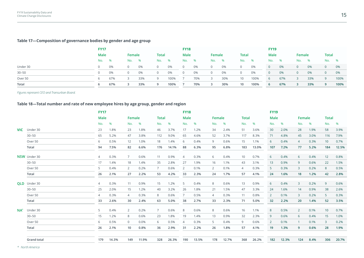### **Table 17—Composition of governance bodies by gender and age group**

|           | <b>FY17</b> |     |          |      |              |      | <b>FY18</b> |     |                |      |                 |      | <b>FY19</b> |      |                |     |                |      |
|-----------|-------------|-----|----------|------|--------------|------|-------------|-----|----------------|------|-----------------|------|-------------|------|----------------|-----|----------------|------|
|           | Male        |     | Female   |      | <b>Total</b> |      | Male        |     | Female         |      | <b>Total</b>    |      | Male        |      | Female         |     | <b>Total</b>   |      |
|           | No.         | %   | No.      | $\%$ | No.          | %    | No.         | %   | No.            | $\%$ | No.             | %    | No.         | $\%$ | No.            | - % | No.            | %    |
| Under 30  | $\Omega$    | 0%  | $\Omega$ | 0%   | $\cup$       | 0%   | $\Omega$    | 0%  | $\overline{0}$ | 0%   | $\overline{0}$  | 0%   | $\Omega$    | 0%   | 0              | 0%  | $\overline{0}$ | 0%   |
| $30 - 50$ | $\Omega$    | 0%  | $\Omega$ | 0%   | $\mathbf{0}$ | 0%   | $\Omega$    | 0%  | $\overline{0}$ | 0%   | $\overline{0}$  | 0%   | $\Omega$    | 0%   | $\circ$ 0      | 0%  | $\overline{0}$ | 0%   |
| Over 50   | 6           | 67% |          | 33%  | 9            | 100% |             | 70% | 3              | 30%  | 10              | 100% | $\sigma$    | 67%  | 3 <sup>1</sup> | 33% | 9              | 100% |
| Total     | 6           | 67% |          | 33%  | 9            | 100% |             | 70% | 3              | 30%  | 10 <sup>°</sup> | 100% | 6           | 67%  | 3              | 33% | 9              | 100% |

*Figures represent CEO and Transurban Board.* 

#### **Table 18—Total number and rate of new employee hires by age group, gender and region**

|            |                     | <b>FY17</b> |       |                   |       |              |       | <b>FY18</b>    |       |                |       |                |       | <b>FY19</b> |       |                |      |                 |       |
|------------|---------------------|-------------|-------|-------------------|-------|--------------|-------|----------------|-------|----------------|-------|----------------|-------|-------------|-------|----------------|------|-----------------|-------|
|            |                     | <b>Male</b> |       | Female            |       | <b>Total</b> |       | <b>Male</b>    |       | Female         |       | <b>Total</b>   |       | Male        |       | Female         |      | <b>Total</b>    |       |
|            |                     | No.         | %     | No.               | %     | No.          | %     | No.            | %     | No.            | %     | No.            | %     | No.         | %     | No.            | %    | No.             | %     |
| <b>VIC</b> | Under 30            | 23          | 1.8%  | 23                | 1.8%  | 46           | 3.7%  | 17             | 1.2%  | 34             | 2.4%  | 51             | 3.6%  | 30          | 2.0%  | 28             | 1.9% | 58              | 3.9%  |
|            | $30 - 50$           | 65          | 5.2%  | 47                | 3.8%  | 112          | 9.0%  | 65             | 4.6%  | 52             | 3.7%  | 117            | 8.3%  | 71          | 4.8%  | 45             | 3.0% | 116             | 7.9%  |
|            | Over 50             | 6           | 0.5%  | $12 \overline{ }$ | 1.0%  | 18           | 1.4%  | 6              | 0.4%  | 9              | 0.6%  | 15             | 1.1%  | 6           | 0.4%  | $\overline{4}$ | 0.3% | 10 <sup>°</sup> | 0.7%  |
|            | Total               | 94          | 7.5%  | 82                | 6.6%  | 176          | 14.1% | 88             | 6.3%  | 95             | 6.8%  | 183            | 13.0% | 107         | 7.2%  | 77             | 5.2% | 184             | 12.5% |
|            | NSW Under 30        | 4           | 0.3%  | $\overline{7}$    | 0.6%  | 11           | 0.9%  | 4              | 0.3%  | 6              | 0.4%  | 10             | 0.7%  | 6           | 0.4%  | 6              | 0.4% | 12 <sup>2</sup> | 0.8%  |
|            | $30 - 50$           | 17          | 1.4%  | 18                | 1.4%  | 35           | 2.8%  | 27             | 1.9%  | 16             | 1.1%  | 43             | 3.1%  | 13          | 0.9%  | 9              | 0.6% | 22              | 1.5%  |
|            | Over 50             | 5           | 0.4%  | 2                 | 0.2%  | $7^{\circ}$  | 0.6%  | $\overline{2}$ | 0.1%  | $\overline{2}$ | 0.1%  | $\overline{4}$ | 0.3%  | 5           | 0.3%  | $\overline{3}$ | 0.2% | 8               | 0.5%  |
|            | Total               | 26          | 2.1%  | 27                | 2.2%  | 53           | 4.2%  | 33             | 2.3%  | 24             | 1.7%  | 57             | 4.1%  | 24          | 1.6%  | 18             | 1.2% | 42              | 2.8%  |
|            |                     |             |       |                   |       |              |       |                |       |                |       |                |       |             |       |                |      |                 |       |
|            | <b>QLD</b> Under 30 | 4           | 0.3%  | 11                | 0.9%  | 15           | 1.2%  | 5              | 0.4%  | 8              | 0.6%  | 13             | 0.9%  | 6           | 0.4%  | $\overline{3}$ | 0.2% | 9               | 0.6%  |
|            | $30 - 50$           | 25          | 2.0%  | 15                | 1.2%  | 40           | 3.2%  | 26             | 1.8%  | 21             | 1.5%  | 47             | 3.3%  | 24          | 1.6%  | 14             | 0.9% | 38              | 2.6%  |
|            | Over 50             |             | 0.3%  | $\overline{4}$    | 0.3%  | 8            | 0.6%  | $7^{\circ}$    | 0.5%  | 4              | 0.3%  | 11             | 0.8%  | 2           | 0.1%  | 3              | 0.2% | 5 <sup>1</sup>  | 0.3%  |
|            | Total               | 33          | 2.6%  | 30                | 2.4%  | 63           | 5.0%  | 38             | 2.7%  | 33             | 2.3%  | 71             | 5.0%  | 32          | 2.2%  | 20             | 1.4% | 52              | 3.5%  |
| $NA^*$     | Under 30            | 5           | 0.4%  | 2                 | 0.2%  | 7            | 0.6%  | 8              | 0.6%  | 8              | 0.6%  | 16             | 1.1%  | 8           | 0.5%  | $\overline{2}$ | 0.1% | 10 <sup>°</sup> | 0.7%  |
|            | $30 - 50$           | 15          | 1.2%  | 8                 | 0.6%  | 23           | 1.8%  | 19             | 1.4%  | 13             | 0.9%  | 32             | 2.3%  | 9           | 0.6%  | 6              | 0.4% | 15              | 1.0%  |
|            | Over 50             | 6           | 0.5%  | $\mathbf{0}$      | 0.0%  | 6            | 0.5%  | $\overline{4}$ | 0.3%  | 5              | 0.4%  | 9              | 0.6%  | 2           | 0.1%  |                | 0.1% | 3               | 0.2%  |
|            | Total               | 26          | 2.1%  | 10                | 0.8%  | 36           | 2.9%  | 31             | 2.2%  | 26             | 1.8%  | 57             | 4.1%  | 19          | 1.3%  | 9              | 0.6% | 28              | 1.9%  |
|            |                     |             |       |                   |       |              |       |                |       |                |       |                |       |             |       |                |      |                 |       |
|            | <b>Grand total</b>  | 179         | 14.3% | 149               | 11.9% | 328          | 26.3% | 190            | 13.5% | 178            | 12.7% | 368            | 26.2% | 182         | 12.3% | 124            | 8.4% | 306             | 20.7% |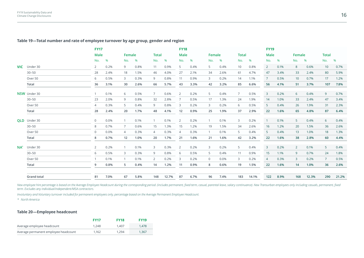#### **Table 19—Total number and rate of employee turnover by age group, gender and region**

|     |                     | <b>FY17</b>    |      |                |      |                |       | <b>FY18</b>    |      |                |      |                |       | <b>FY19</b>    |      |        |       |                 |       |
|-----|---------------------|----------------|------|----------------|------|----------------|-------|----------------|------|----------------|------|----------------|-------|----------------|------|--------|-------|-----------------|-------|
|     |                     | Male           |      | Female         |      | <b>Total</b>   |       | Male           |      | Female         |      | <b>Total</b>   |       | <b>Male</b>    |      | Female |       | <b>Total</b>    |       |
|     |                     | No.            | %    | No.            | %    | No.            | %     | No.            | %    | No.            | %    | No.            | %     | No.            | %    | No.    | %     | No.             | $\%$  |
|     | <b>VIC</b> Under 30 | $\overline{2}$ | 0.2% | 9              | 0.8% | 11             | 0.9%  | 5              | 0.4% | 5              | 0.4% | 10             | 0.8%  | $2^{\circ}$    | 0.1% | 8      | 0.6%  | 10 <sup>°</sup> | 0.7%  |
|     | $30 - 50$           | 28             | 2.4% | 18             | 1.5% | 46             | 4.0%  | 27             | 2.1% | 34             | 2.6% | 61             | 4.7%  | 47             | 3.4% | 33     | 2.4%  | 80              | 5.9%  |
|     | Over 50             | 6              | 0.5% | 3              | 0.3% | 9              | 0.8%  | 11             | 0.9% | 3              | 0.2% | 14             | 1.1%  | $7^{\circ}$    | 0.5% | 10     | 0.7%  | 17              | 1.2%  |
|     | Total               | 36             | 3.1% | 30             | 2.6% | 66             | 5.7%  | 43             | 3.3% | 42             | 3.2% | 85             | 6.6%  | 56             | 4.1% | 51     | 3.7%  | 107             | 7.8%  |
|     | NSW Under 30        |                | 0.1% | 6              | 0.5% | $\overline{7}$ | 0.6%  | 2              | 0.2% | 5              | 0.4% | $\overline{7}$ | 0.5%  | $\overline{3}$ | 0.2% | 6      | 0.4%  | 9               | 0.7%  |
|     | $30 - 50$           | 23             | 2.0% | 9              | 0.8% | 32             | 2.8%  | $\overline{7}$ | 0.5% | 17             | 1.3% | 24             | 1.9%  | 14             | 1.0% | 33     | 2.4%  | 47              | 3.4%  |
|     | Over 50             | 4              | 0.3% | 5              | 0.4% | 9              | 0.8%  | 3              | 0.2% | 3              | 0.2% | 6              | 0.5%  | 5 <sup>1</sup> | 0.4% | 26     | 1.9%  | 31              | 2.3%  |
|     | Total               | 28             | 2.4% | 20             | 1.7% | 48             | 4.1%  | 12             | 0.9% | 25             | 1.9% | 37             | 2.9%  | 22             | 1.6% | 65     | 4.8%  | 87              | 6.4%  |
|     | OLD Under 30        | $\mathbf{0}$   | 0.0% | $\mathbf{1}$   | 0.1% | $\overline{1}$ | 0.1%  | 2              | 0.2% |                | 0.1% | 3              | 0.2%  | $\sim$ 1       | 0.1% | 5      | 0.4%  | 6               | 0.4%  |
|     | $30 - 50$           | 8              | 0.7% | $\overline{7}$ | 0.6% | 15             | 1.3%  | 15             | 1.2% | 19             | 1.5% | 34             | 2.6%  | 16             | 1.2% | 20     | 1.5%  | 36              | 2.6%  |
|     | Over 50             | $\mathbf 0$    | 0.0% | $\overline{4}$ | 0.3% | $\overline{4}$ | 0.3%  | $\overline{4}$ | 0.3% |                | 0.1% | 5              | 0.4%  | 5 <sup>5</sup> | 0.4% | 13     | 1.0%  | 18              | 1.3%  |
|     | Total               | 8              | 0.7% | 12             | 1.0% | 20             | 1.7%  | 21             | 1.6% | 21             | 1.6% | 42             | 3.2%  | 22             | 1.6% | 38     | 2.8%  | 60              | 4.4%  |
| NA* | Under 30            | 2              | 0.2% | $\mathbf{1}$   | 0.1% | 3              | 0.3%  | 2              | 0.2% | 3              | 0.2% | 5              | 0.4%  | $\overline{3}$ | 0.2% | 2      | 0.1%  | 5 <sup>5</sup>  | 0.4%  |
|     | $30 - 50$           | 6              | 0.5% | 3              | 0.3% | 9              | 0.8%  | 6              | 0.5% | 5              | 0.4% | 11             | 0.9%  | 15             | 1.1% | 9      | 0.7%  | 24              | 1.8%  |
|     | Over 50             |                | 0.1% | $\mathbf{1}$   | 0.1% | 2              | 0.2%  | 3              | 0.2% | $\overline{0}$ | 0.0% | 3              | 0.2%  | $\overline{4}$ | 0.3% | 3      | 0.2%  | $\overline{7}$  | 0.5%  |
|     | Total               | 9              | 0.8% | 5              | 0.4% | 14             | 1.2%  | 11             | 0.9% | 8              | 0.6% | 19             | 1.5%  | 22             | 1.6% | 14     | 1.0%  | 36              | 2.6%  |
|     | <b>Grand total</b>  | 81             | 7.0% | 67             | 5.8% | 148            | 12.7% | 87             | 6.7% | 96             | 7.4% | 183            | 14.1% | $122$          | 8.9% | 168    | 12.3% | 290             | 21.2% |
|     |                     |                |      |                |      |                |       |                |      |                |      |                |       |                |      |        |       |                 |       |

New employee hire percentage is based on the Average Employee Headcount during the corresponding period. (includes permanent, fixed term, casual, parental leave, salary continuance). New Transurban employees only including *term. Excludes any individual/independent/MSA contractors.*

*Involuntary and Voluntary turnover included for permanent employees only, percentage based on the Average Permanent Employee Headcount.*

*\* North America*

#### **Table 20—Employee headcount**

|                                      | <b>FY17</b> | <b>FY18</b> | <b>FY19</b> |
|--------------------------------------|-------------|-------------|-------------|
| Average employee headcount           | 1.248       | 1.407       | 1.478       |
| Average permanent employee headcount | 1.162       | 1.294       | 1.367       |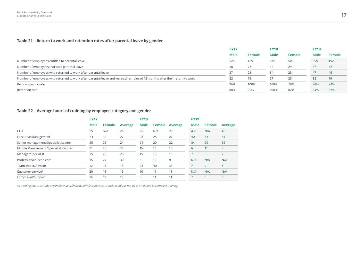### **Table 21—Return to work and retention rates after parental leave by gender**

| <b>FY17</b> |        | <b>FY18</b> |        | <b>FY19</b> |        |
|-------------|--------|-------------|--------|-------------|--------|
| Male        | Female | Male        | Female | Male        | Female |
| 528         | 469    | 615         | 503    | 695         | 492    |
| 28          | 28     | 34          | 29     | 48          | 52     |
| 27          | 28     | 34          | 23     | 47          | 49     |
| 22          | 18     | 27          | 23     | 32          | 19     |
| 96%         | 100%   | 100%        | 79%    | 98%         | 94%    |
| 88%         | 90%    | 100%        | 82%    | 94%         | 83%    |
|             |        |             |        |             |        |

### **Table 22—Average hours of training by employee category and gender**

|                                      | <b>FY17</b> |        |         | <b>FY18</b> |        |         | <b>FY19</b>    |        |         |
|--------------------------------------|-------------|--------|---------|-------------|--------|---------|----------------|--------|---------|
|                                      | Male        | Female | Average | Male        | Female | Average | Male           | Female | Average |
| CEO                                  | 25          | N/A    | 25      | 26          | N/A    | 26      | 43             | N/A    | 43      |
| <b>Executive Management</b>          | 23          | 32     | 27      | 28          | 25     | 26      | 40             | 43     | 41      |
| Senior management/Specialist Leader  | 25          | 23     | 24      | 24          | 20     | 22      | 34             | 29     | 32      |
| Middle Management/Specialist Partner | 21          | 25     | 22      | 15          | 16     | 15      | 6              | 11     | 8       |
| Manager/Specialist                   | 25          | 26     | 25      | 15          | 18     | 16      |                | 8      |         |
| Professional/Technical*              | 35          | 27     | 30      | 8           | 10     | 9       | N/A            | N/A    | N/A     |
| Team leader/Advisor                  | 12          | 16     | 13      | 28          | 40     | 34      | $\overline{7}$ | 9      | 8       |
| Customer service*                    | 20          | 16     | 16      | 10          | 11     | 11      | N/A            | N/A    | N/A     |
| Entry Level/Support                  | 16          | 13     | 13      | 8           | 11     | 11      | $\overline{7}$ | 6      | 6       |
|                                      |             |        |         |             |        |         |                |        |         |

All training hours exclude any independent/individual/MSA contractors and casuals as not all are required to complete training.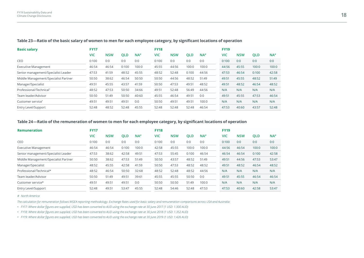| <b>Basic salary</b>                  | <b>FY17</b> |            |            |                   | <b>FY18</b> |            |            |       | <b>FY19</b> |            |            |                   |
|--------------------------------------|-------------|------------|------------|-------------------|-------------|------------|------------|-------|-------------|------------|------------|-------------------|
|                                      | VIC         | <b>NSW</b> | <b>QLD</b> | $NA$ <sup>#</sup> | <b>VIC</b>  | <b>NSW</b> | <b>QLD</b> | NA    | VIC         | <b>NSW</b> | <b>QLD</b> | $NA$ <sup>#</sup> |
| CEO                                  | 0:100       | 0:0        | 0:0        | 0:0               | 0:100       | 0:0        | 0:0        | 0:0   | 0:100       | 0:0        | 0:0        | 0:0               |
| <b>Executive Management</b>          | 46:54       | 46:54      | 0:100      | 100:0             | 45:55       | 44:56      | 100:0      | 100:0 | 44:56       | 45:55      | 100:0      | 100:0             |
| Senior management/Specialist Leader  | 47:53       | 41:59      | 48:52      | 45:55             | 48:52       | 52:48      | 0:100      | 44:56 | 47:53       | 46:54      | 0:100      | 42:58             |
| Middle Management/Specialist Partner | 50:50       | 38:62      | 46:54      | 50:50             | 50:50       | 44:56      | 48:52      | 51:49 | 49:51       | 45:55      | 48:52      | 51:49             |
| Manager/Specialist                   | 49:51       | 45:55      | 43:57      | 41:59             | 50:50       | 47:53      | 49:51      | 48:52 | 49:51       | 48:52      | 46:54      | 48:52             |
| Professional/Technical*              | 48:52       | 47:53      | 50:50      | 34:66             | 49:51       | 52:48      | 56:49      | 44:56 | N/A         | N/A        | N/A        | N/A               |
| Team leader/Advisor                  | 50:50       | 51:49      | 50:50      | 40:60             | 45:55       | 46:54      | 49:51      | 0:0   | 49:51       | 45:55      | 47:53      | 46:54             |
| Customer service*                    | 49:51       | 49:51      | 49:51      | 0:0               | 50:50       | 49:51      | 49:51      | 100:0 | N/A         | N/A        | N/A        | N/A               |
| Entry Level/Support                  | 52:48       | 48:52      | 52:48      | 45:55             | 52:48       | 52:48      | 52:48      | 46:54 | 47:53       | 40:60      | 43:57      | 52:48             |

**Table 23—Ratio of the basic salary of women to men for each employee category, by significant locations of operation**

#### **Table 24—Ratio of the remuneration of women to men for each employee category, by significant locations of operation**

| <b>Remuneration</b>                  | <b>FY17</b> |            |            |       | <b>FY18</b> |            |            |                   | <b>FY19</b> |            |            |                   |
|--------------------------------------|-------------|------------|------------|-------|-------------|------------|------------|-------------------|-------------|------------|------------|-------------------|
|                                      | VIC         | <b>NSW</b> | <b>QLD</b> | NA    | <b>VIC</b>  | <b>NSW</b> | <b>QLD</b> | $NA$ <sup>#</sup> | VIC         | <b>NSW</b> | <b>QLD</b> | $NA$ <sup>#</sup> |
| CEO                                  | 0:100       | 0:0        | 0:0        | 0:0   | 0:100       | 0:0        | 0:0        | 0:0               | 0:100       | 0:0        | 0:0        | 0:0               |
| <b>Executive Management</b>          | 46:54       | 46:54      | 0:100      | 100:0 | 42:58       | 45:55      | 100:0      | 100:0             | 44:56       | 46:54      | 100:0      | 100:0             |
| Senior management/Specialist Leader  | 47:53       | 38:62      | 42:58      | 49:51 | 47:53       | 55:45      | 0:100      | 46:54             | 46:54       | 46:54      | 0:100      | 42:58             |
| Middle Management/Specialist Partner | 50:50       | 38:62      | 47:53      | 51:49 | 50:50       | 43:57      | 48:52      | 51:49             | 49:51       | 44:56      | 47:53      | 53:47             |
| Manager/Specialist                   | 48:52       | 45:55      | 42:58      | 41:59 | 50:50       | 47:53      | 48:52      | 48:52             | 49:51       | 48:52      | 46:54      | 48:52             |
| Professional/Technical*              | 48:52       | 46:54      | 50:50      | 32:68 | 48:52       | 52:48      | 48:52      | 44:56             | N/A         | N/A        | N/A        | N/A               |
| Team leader/Advisor                  | 50:50       | 51:49      | 49:51      | 39:61 | 45:55       | 45:55      | 50:50      | 0:0               | 49:51       | 45:55      | 46:54      | 46:54             |
| Customer service*                    | 49:51       | 49:51      | 49:51      | 0:0   | 50:50       | 50:50      | 51:49      | 100:0             | N/A         | N/A        | N/A        | N/A               |
| Entry Level/Support                  | 52:48       | 49:51      | 53:47      | 45:55 | 52:48       | 54:46      | 52:48      | 47:53             | 47:53       | 40:60      | 42:58      | 53:47             |
|                                      |             |            |            |       |             |            |            |                   |             |            |            |                   |

*# North America*

*The calculation for remuneration follows WGEA reporting methodology. Exchange Rates used for basic salary and remuneration comparisons across USA and Australia:*

• FY17: Where dollar figures are supplied, USD has been converted to AUD using the exchange rate at 30 June 2017 (1 USD: 1.300 AUD)

· FY18: Where dollar figures are supplied, USD has been converted to AUD using the exchange rate at 30 June 2018 (1 USD: 1.352 AUD)

· FY19: Where dollar figures are supplied, USD has been converted to AUD using the exchange rate at 30 June 2019 (1 USD: 1.426 AUD)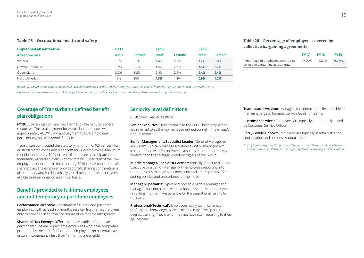#### **Table 25—Occupational health and safety**

| Unplanned absenteeism | <b>FY17</b> |        | <b>FY18</b> |        | <b>FY19</b> |        |
|-----------------------|-------------|--------|-------------|--------|-------------|--------|
| Absentee rate         | <b>Male</b> | Female | <b>Male</b> | Female | Male        | Female |
| Victoria              | .8%         | 2.1%   | 1.4%        | 2.2%   | 1.7%        | 2.0%   |
| New South Wales       | 1.7%        | 2.7%   | 1.5%        | 2.8%   | 1.5%        | 2.7%   |
| Queensland            | 3.2%        | 3.2%   | 2.4%        | 2.9%   | 2.4%        | 2.4%   |
| North America         | 16%         | 10%    | 1.5%        | 1.8%   | 0.9%        | 1.2%   |

#### **Table 26—Percentage of employees covered by collective bargaining agreements**

|                                                                        | <b>FY17</b> | <b>FY18</b> | <b>FY19</b> |
|------------------------------------------------------------------------|-------------|-------------|-------------|
| Percentage of employees covered by<br>collective bargaining agreements | 17.90%      | 14.20%      | 9.28%       |

Based on unplanned hour/hours worked or scheduled to work. Excludes casual hours from 'total scheduled' hours as they are not entitled to personal leave.

Unplanned absenteeism includes sick leave (paid and unpaid), carer's leave (paid and unpaid) and bereavement/compassionate leave.

# **Coverage of Transurban's defined benefit plan obligations**

**FY19:** Superannuation liabilities are met by the Group's general resources. The total payment for Australian employees was approximately AUD\$15.4M and payment to USA employees participating was AUD\$888k for FY19.

Transurban contributed the statutory minimum of 9.5 per cent for Australian employees and 4 per cent for USA employees. Maximum contributions apply. 100 per cent of employees participate in the mandatory Australian plans. Approximately 85 per cent of the USA employees participate in the voluntary 401(k) retirement and profit sharing plan. The employer provided profit sharing contribution is discretionary and has historically paid 4 per cent of its employees' eligible base earnings on an annual basis.

# **Benefits provided to full-time employees and not temporary or part-time employees**

**Performance Incentive**—permanent full-time and part-time employees (with at least six months service), fixed term employees only as specified in contract or tenure of 24 months and greater.

**ShareLink Tax Exempt Offer**—Made available to Australian permanent full-time or part-time employees who have completed probation by the end of offer period. Employees on parental leave or salary continuance less than 12 months are eligible.

## **Seniority level definitions**

**CEO:** Chief Executive Officer

**Senior Executive:** Direct reports to the CEO. These employees are referred to as the key management personnel in the Group's Annual Report.

**Senior Management/Specialist Leader:** General Manager or equivalent. Typically manage a business unit or major project. In conjunction with Senior Executives, they either set or heavily contribute to the strategic directions/goals of the Group.

**Middle Manager/Specialist Partner:** Typically report to a Senior Executive or a Senior Manager with employees reporting into them. Typically manage a business unit and are responsible for setting policies and procedures for their area.

**Manager/Specialist:** Typically report to a Middle Manager and manage a functional area within a business unit, with employees reporting into them. Responsible for the operational results for their area.

**Professional/Technical\* :** Employees apply technical and/or professional knowledge to their role and may have specialty degree/training. They may or may not have staff reporting to them eg Engineer.

**Team Leader/Advisor:** Manage a functional team. Responsible for managing targets, budgets, service levels for teams.

**Customer Service\* :** Employees are typically operationally based eg Customer Service Officer.

**Entry Level/Support:** Employees are typically in administration, coordination and business support roles.

*\* Employee categories "Professional/Technical" and "Customer Service" are no longer used as at FY19 due to change in systems for employee categorisation.*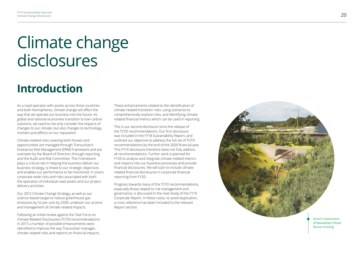# Climate change disclosures

# **Introduction**

As a road operator with assets across three countries and both hemispheres, climate change will affect the way that we operate our business into the future. As global and national economies transition to low-carbon solutions, we need to not only consider the impacts of changes to our climate, but also changes to technology, markets and affects on our reputation.

Climate-related risks covering both threats and opportunities are managed through Transurban's Enterprise Risk Management (ERM) Framework and are overseen by the Board of Directors through reporting and the Audit and Risk Committee. This Framework plays a critical role in helping the business deliver our business strategy, is linked to our strategic objectives and enables our performance to be monitored. It covers corporate-wide risks and risks associated with both the operation of individual road assets and our project delivery activities.

Our 2012 Climate Change Strategy, as well as our science-based target to reduce greenhouse gas emissions by 52 per cent by 2030, underpin our actions and management of climate-related impacts.

Following an initial review against the Task Force on Climate Related Disclosures (TCFD) recommendations in 2017, a number of possible enhancements were identified to improve the way Transurban manages climate-related risks and reports on financial impacts.

These enhancements related to the identification of climate-related transition risks, using scenarios to comprehensively explore risks, and identifying climaterelated financial metrics which can be used in reporting.

This is our second disclosure since the release of the TCFD recommendations. Our first disclosure was included in the FY18 Sustainability Report, and outlined our objective to address the full set of TCFD recommendations by the end of the 2020 financial year. This FY19 disclosure therefore does not fully address all recommendations. Further work is planned for FY20 to analyse and integrate climate-related metrics and impacts into our business processes and provide financial disclosures. We will start to include climaterelated financial disclosures in corporate financial reporting from FY20.

Progress towards many of the TCFD recommendations, especially those related to risk management and governance, is discussed in the main body of the FY19 Corporate Report. In these cases, to avoid duplication, a cross reference has been included to the relevant Report section.

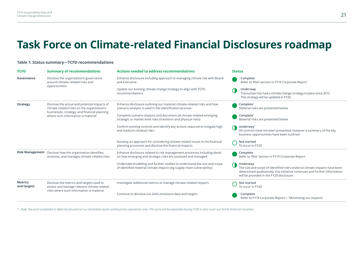# **Task Force on Climate-related Financial Disclosures roadmap**

#### **Table 1: Status summary—TCFD recommendations**

| <b>TCFD</b>                   | <b>Summary of recommendations</b>                                                                                                           | <b>Actions needed to address recommendations</b>                                                                                                   | <b>Status</b>                                                                                                                                                                                                    |  |  |  |
|-------------------------------|---------------------------------------------------------------------------------------------------------------------------------------------|----------------------------------------------------------------------------------------------------------------------------------------------------|------------------------------------------------------------------------------------------------------------------------------------------------------------------------------------------------------------------|--|--|--|
| Governance                    | Disclose the organisation's governance<br>around climate-related risks and                                                                  | Enhance disclosure including approach to managing climate risk with Board<br>and Executive                                                         | Complete<br>Refer to 'Risk' section in FY19 Corporate Report                                                                                                                                                     |  |  |  |
|                               | opportunities                                                                                                                               | Update our existing climate change strategy to align with TCFD<br>recommendations                                                                  | Underway<br>Transurban has had a climate change strategy in place since 2012.<br>This strategy will be updated In FY20                                                                                           |  |  |  |
| <b>Strategy</b>               | Disclose the actual and potential impacts of<br>climate-related risks on the organisation's<br>businesses, strategy, and financial planning | Enhance disclosure outlining our material climate-related risks and how<br>scenario analysis is used in the identification process                 | Complete <sup>*</sup><br>Material risks are presented below                                                                                                                                                      |  |  |  |
|                               | where such information is material                                                                                                          | Complete scenario analysis and document all climate-related emerging,<br>strategic or market level risks (transition and physical risks)           | Complete*<br>Material risks are presented below                                                                                                                                                                  |  |  |  |
|                               |                                                                                                                                             | Confirm existing controls and identify key actions required to mitigate high<br>and medium residual risks                                          | Underway <sup>*</sup><br>All controls have not been presented, however a summary of the key<br>business opportunities have been outlined                                                                         |  |  |  |
|                               |                                                                                                                                             | Develop an approach for considering climate related issues in the financial<br>planning processes and disclose the financial impacts               | Not started<br>To occur in FY20                                                                                                                                                                                  |  |  |  |
|                               | Risk Management Disclose how the organisation identifies,<br>assesses, and manages climate-related risks                                    | Enhance disclosure related to risk management processes including detail<br>on how emerging and strategic risks are assessed and managed           | Complete<br>Refer to 'Risk' section in FY19 Corporate Report                                                                                                                                                     |  |  |  |
|                               |                                                                                                                                             | Undertake modelling and further studies to understand the size and scope<br>of identified material climate impacts (eg supply chain vulnerability) | Underway<br>The size and scope of identified risk's material climate impacts have been<br>determined qualitatively, this initiative continues and further information<br>will be provided in the FY20 disclosure |  |  |  |
| <b>Metrics</b><br>and targets | Disclose the metrics and targets used to<br>assess and manage relevant climate related                                                      | Investigate additional metrics to manage climate-related impacts                                                                                   | Not started<br>To occur in FY20                                                                                                                                                                                  |  |  |  |
|                               | risks where such information is material                                                                                                    | Continue to disclose our GHG emissions data and targets                                                                                            | Complete<br>Refer to FY19 Corporate Report-'Minimising our impacts'                                                                                                                                              |  |  |  |

\* Note: the work completed to date has focused on our Australian assets and business operations only. This work will be expanded during FY20 to also cover our North American business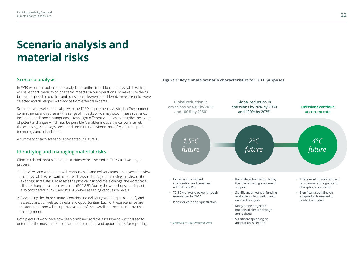# **Scenario analysis and material risks**

### **Scenario analysis**

In FY19 we undertook scenario analysis to confirm transition and physical risks that will have short, medium or long-term impacts on our operations. To make sure the full breadth of possible physical and transition risks were considered, three scenarios were selected and developed with advice from external experts.

Scenarios were selected to align with the TCFD requirements, Australian Government commitments and represent the range of impacts which may occur. These scenarios included trends and assumptions across eight different variables to describe the extent of potential changes which may be possible. Variables include the carbon market, the economy, technology, social and community, environmental, freight, transport technology and urbanisation.

A summary of each scenario is presented in Figure 1.

## **Identifying and managing material risks**

Climate-related threats and opportunities were assessed in FY19 via a two stage process:

- 1. Interviews and workshops with various asset and delivery team employees to review the physical risks relevant across each Australian region, including a review of the existing risk registers. To assess the physical risk of climate change, the worst case climate change projection was used (RCP 8.5). During the workshops, participants also considered RCP 2.6 and RCP 4.5 when assigning various risk levels.
- 2. Developing the three climate scenarios and delivering workshops to identify and assess transition-related threats and opportunities. Each of these scenarios are customisable and will be updated as part of the overall approach to climate risk management.

Both pieces of work have now been combined and the assessment was finalised to determine the most material climate-related threats and opportunities for reporting.

#### **Figure 1: Key climate scenario characteristics for TCFD purposes**

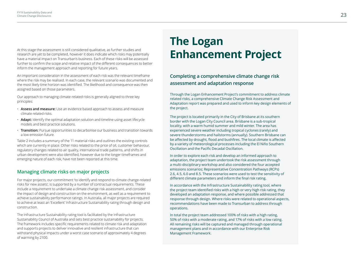At this stage the assessment is still considered qualitative, as further studies and research are yet to be completed, however it does indicate which risks may potentially have a material impact on Transurban's business. Each of these risks will be assessed further to confirm the scope and relative impact of the different consequences to better inform the management approach and reporting for future years.

An important consideration in the assessment of each risk was the relevant timeframe where the risk may be realised. In each case, the relevant scenario was documented and the most likely time horizon was identified. The likelihood and consequence was then assigned based on those parameters.

Our approach to managing climate-related risks is generally aligned to three key principles:

- **Assess and measure:** Use an evidence based approach to assess and measure climate related risks.
- **Adapt:** Identify the optimal adaptation solution and timeline using asset lifecycle models and best practice solutions.
- **Transition:** Pursue opportunities to decarbonise our business and transition towards a low emission future.

Table 2 includes a summary of the 11 material risks and outlines the existing controls which are currently in place. Other risks related to the price of oil, customer behaviour, regulatory changes related to air quality, international trade patterns, and shifts in urban development were also identified, however due to the longer timeframes and emerging nature of each risk, have not been reported at this time.

### **Managing climate risks on major projects**

For major projects, our commitment 'to identify and respond to climate change-related risks for new assets', is supported by a number of contractual requirements. These include a requirement to undertake a climate change risk assessment, and consider the impact of design and construction on the environment, as well as a requirement to achieve sustainability performance ratings. In Australia, all major projects are required to achieve at least an 'Excellent' Infrastructure Sustainability rating through design and construction.

The Infrastructure Sustainability rating tool is facilitated by the Infrastructure Sustainability Council of Australia and sets best practice sustainability for projects. The framework includes specific requirements related to climate risk and adaptation and supports projects to deliver innovative and resilient infrastructure that can withstand physical impacts under a worst case scenario of approximately 4 degrees of warming by 2100.

# **The Logan Enhancement Project**

# **Completing a comprehensive climate change risk assessment and adaptation response**

Through the Logan Enhancement Project's commitment to address climate related risks, a comprehensive Climate Change Risk Assessment and Adaptation report was prepared and used to inform key design elements of the project.

The project is located primarily in the City of Brisbane at its southern border with the Logan City Council area. Brisbane is a sub-tropical locality, with a warm humid summer and mild winter. The area has experienced severe weather including tropical cyclones (rarely) and severe thunderstorms and hailstorms (annually). Southern Brisbane can be affected by drought, flood and bushfires. The local climate is affected by a variety of meteorological processes including the El Niño Southern Oscillation and the Pacific Decadal Oscillation.

In order to explore each risk and develop an informed approach to adaptation, the project team undertook the risk assessment through a multi-disciplinary workshop and also considered the four accepted emissions scenarios; Representative Concentration Pathways (RCPs) 2.6, 4.5, 6.0 and 8.5. These scenarios were used to test the sensitivity of different climate parameters and inform the final risk rating.

In accordance with the Infrastructure Sustainability rating tool, where the project team identified risks with a high or very high risk rating, they developed an adaptation response, and where possible addressed that response through design. Where risks were related to operational aspects, recommendations have been made to Transurban to address through operations.

In total the project team addressed 100% of risks with a high rating, 50% of risks with a moderate rating, and 17% of risks with a low rating. All remaining risks will be captured and managed through operational management plans and in accordance with our Enterprise Risk Management Framework.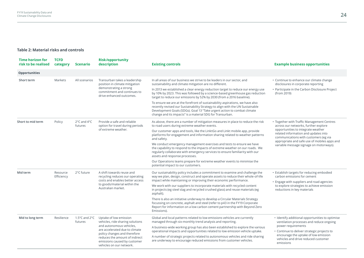### **Table 2: Material risks and controls**

| <b>Time horizon for</b><br>risk to be realised | <b>TCFD</b><br>category | <b>Scenario</b>                              | <b>Risk/opportunity</b><br>description                                                                                                                | <b>Existing controls</b>                                                                                                                                                                                                                                                                               | <b>Example business opportunities</b>                                                                                                                               |
|------------------------------------------------|-------------------------|----------------------------------------------|-------------------------------------------------------------------------------------------------------------------------------------------------------|--------------------------------------------------------------------------------------------------------------------------------------------------------------------------------------------------------------------------------------------------------------------------------------------------------|---------------------------------------------------------------------------------------------------------------------------------------------------------------------|
| <b>Opportunities</b>                           |                         |                                              |                                                                                                                                                       |                                                                                                                                                                                                                                                                                                        |                                                                                                                                                                     |
| Short term                                     | Markets                 | All scenarios                                | Transurban takes a leadership<br>position in climate mitigation<br>demonstrating a strong<br>commitment and continues to<br>drive enhanced outcomes.  | In all areas of our business we strive to be leaders in our sector, and<br>sustainability and climate mitigation are no different.                                                                                                                                                                     | • Continue to enhance our climate change<br>disclosures in corporate reporting                                                                                      |
|                                                |                         |                                              |                                                                                                                                                       | In 2013 we established a clear energy reduction target to reduce our energy use<br>by 10% by 2023. This was followed by a science-based greenhouse gas reduction<br>target to reduce our emissions by 52% by 2030 (from a 2016 baseline).                                                              | • Participate in the Carbon Disclosure Project<br>(from 2019)                                                                                                       |
|                                                |                         |                                              |                                                                                                                                                       | To ensure we are at the forefront of sustainability aspirations, we have also<br>recently revised our Sustainability Strategy to align with the UN Sustainable<br>Development Goals (SDGs). Goal 13 "Take urgent action to combat climate<br>change and its impacts" is a material SDG for Transurban. |                                                                                                                                                                     |
| Short to mid term                              | Policy                  | $2^{\circ}$ C and $4^{\circ}$ C<br>futures   | Provide a safe and reliable<br>option for travel during periods<br>of extreme weather.                                                                | As above, there are a number of mitigation measures in place to reduce the risk<br>to road users during extreme weather events.                                                                                                                                                                        | • Together with Traffic Management Centres<br>across our networks, further explore                                                                                  |
|                                                |                         |                                              |                                                                                                                                                       | Our customer apps and tools, like the LinktGo and Linkt mobile app, provide<br>platforms for engagement and information sharing related to weather patterns<br>and safety.                                                                                                                             | opportunities to integrate weather<br>related information and updates into<br>communications with customers (eg via<br>appropriate and safe use of mobiles apps and |
|                                                |                         |                                              |                                                                                                                                                       | We conduct emergency management exercises and tests to ensure we have<br>the capability to respond to the impacts of extreme weather on our roads. We<br>regularly collaborate with emergency services to ensure familiarity with our<br>assets and response processes.                                | variable message signage on motorways).                                                                                                                             |
|                                                |                         |                                              |                                                                                                                                                       | Our Operations teams prepare for extreme weather events to minimise the<br>potential impact to our customers.                                                                                                                                                                                          |                                                                                                                                                                     |
| Mid term                                       | Resource<br>Efficiency  | 2°C future                                   | A shift towards reuse and<br>recycling reduces our operating<br>costs and enables better access<br>to goods/material within the<br>Australian market. | Our sustainability policy includes a commitment to examine and challenge the<br>way we plan, design, construct and operate assets to reduce their whole-of-life<br>impact while maintaining or improving their economic performance.                                                                   | • Establish targets for reducing embodied<br>carbon emissions for cement<br>• Engage with suppliers and road agencies                                               |
|                                                |                         |                                              |                                                                                                                                                       | We work with our suppliers to incorporate materials with recycled content<br>in projects (eg steel slag and recycled crushed glass) and reuse materials (eg<br>asphalt).                                                                                                                               | to explore strategies to achieve emission<br>reductions in key materials                                                                                            |
|                                                |                         |                                              |                                                                                                                                                       | There is also an initiative underway to develop a Circular Materials Strategy<br>focussing on concrete, asphalt and steel (refer to p43 in the FY19 Corporate<br>Report for information on a low carbon cement partnership with Beyond Zero<br>Emissions).                                             |                                                                                                                                                                     |
| Mid to long term                               | Resilience              | 1.5 $\degree$ C and 2 $\degree$ C<br>futures | Uptake of low emission<br>vehicles, ride sharing solutions                                                                                            | Global and local patterns related to low emissions vehicles are currently<br>managed through six-monthly trend analysis and reporting.                                                                                                                                                                 | • Identify additional opportunities to optimise<br>ventilation processes and reduce ongoing                                                                         |
|                                                |                         |                                              | and autonomous vehicles,<br>are accelerated due to climate                                                                                            | A business-wide working group has also been established to explore the various<br>operational impacts and opportunities related to low emission vehicle uptake.                                                                                                                                        | power requirements<br>• Continue to deliver strategic projects to                                                                                                   |
|                                                |                         |                                              | policy changes and therefore<br>reduces the amount of indirect<br>emissions caused by customer<br>vehicles on our network.                            | A number of strategic projects related to autonomous vehicles and ride sharing<br>are underway to encourage reduced emissions from customer vehicles.                                                                                                                                                  | encourage the uptake of low emission<br>vehicles and drive reduced customer<br>emissions                                                                            |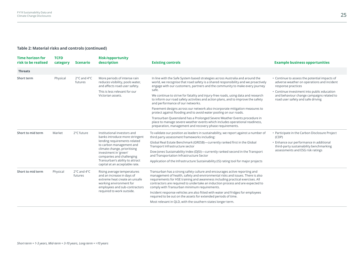### **Table 2: Material risks and controls (continued)**

| <b>Time horizon for</b><br>risk to be realised | <b>TCFD</b><br>category | <b>Scenario</b>                            | <b>Risk/opportunity</b><br>description                                                                                                                                                                          | <b>Existing controls</b>                                                                                                                                                                                                                                                                                                                                                         | <b>Example business opportunities</b>                                                                                                                            |
|------------------------------------------------|-------------------------|--------------------------------------------|-----------------------------------------------------------------------------------------------------------------------------------------------------------------------------------------------------------------|----------------------------------------------------------------------------------------------------------------------------------------------------------------------------------------------------------------------------------------------------------------------------------------------------------------------------------------------------------------------------------|------------------------------------------------------------------------------------------------------------------------------------------------------------------|
| <b>Threats</b>                                 |                         |                                            |                                                                                                                                                                                                                 |                                                                                                                                                                                                                                                                                                                                                                                  |                                                                                                                                                                  |
| Short term                                     | Physical                | $2^{\circ}$ C and $4^{\circ}$ C<br>futures | More periods of intense rain<br>reduces visibility, pools water,<br>and affects road user safety.<br>This is less relevant for our<br>Victorian assets.                                                         | In line with the Safe System based strategies across Australia and around the<br>world, we recognise that road safety is a shared responsibility and we proactively<br>engage with our customers, partners and the community to make every journey<br>safe.                                                                                                                      | • Continue to assess the potential impacts of<br>adverse weather on operations and incident<br>response practices<br>• Continue investment into public education |
|                                                |                         |                                            |                                                                                                                                                                                                                 | We continue to strive for fatality and injury-free roads, using data and research<br>to inform our road safety activities and action plans, and to improve the safety<br>and performance of our networks.                                                                                                                                                                        | and behaviour change campaigns related to<br>road user safety and safe driving                                                                                   |
|                                                |                         |                                            |                                                                                                                                                                                                                 | Pavement designs across our network also incorporate mitigation measures to<br>protect against flooding and to avoid water pooling on our roads.                                                                                                                                                                                                                                 |                                                                                                                                                                  |
|                                                |                         |                                            |                                                                                                                                                                                                                 | Transurban Queensland has a Prolonged Severe Weather Events procedure in<br>place to manage severe weather events which includes operational readiness,<br>preparation, management and recovery phase requirements.                                                                                                                                                              |                                                                                                                                                                  |
| Short to mid term                              | Market                  | 2°C future                                 | Institutional investors and<br>banks introduce more stringent<br>lending requirements related<br>to carbon management and<br>climate change, prioritising<br>investment in 'green'<br>companies and challenging | To validate our position as leaders in sustainability, we report against a number of<br>third party assessment frameworks including:                                                                                                                                                                                                                                             | • Participate in the Carbon Disclosure Project<br>(CDP)                                                                                                          |
|                                                |                         |                                            |                                                                                                                                                                                                                 | Global Real Estate Benchmark (GRESB)-currently ranked first in the Global<br>Transport Infrastructure sector                                                                                                                                                                                                                                                                     | · Enhance our performance in additional<br>third-party sustainability benchmarking                                                                               |
|                                                |                         |                                            |                                                                                                                                                                                                                 | Dow Jones Sustainability Index (DJSI)—currently ranked second in the Transport<br>and Transportation Infrastructure Sector                                                                                                                                                                                                                                                       | assessments and ESG risk ratings                                                                                                                                 |
|                                                |                         |                                            | Transurban's ability to attract<br>capital at an acceptable rate.                                                                                                                                               | Application of the Infrastructure Sustainability (IS) rating tool for major projects                                                                                                                                                                                                                                                                                             |                                                                                                                                                                  |
| Short to mid term                              | Physical                | 2°C and 4°C<br>futures                     | Rising average temperatures<br>and an increase in days of<br>extreme heat create an unsafe<br>working environment for<br>employees and sub-contractors<br>required to work outside.                             | Transurban has a strong safety culture and encourages active reporting and<br>management of health, safety and environmental risks and issues. There is also<br>requirements for HSE training and awareness including practical exercises. All<br>contractors are required to undertake an induction process and are expected to<br>comply with Transurban minimum requirements. |                                                                                                                                                                  |
|                                                |                         |                                            |                                                                                                                                                                                                                 | Incident response vehicles are also fitted with water and fridges for employees<br>required to be out on the assets for extended periods of time.<br>Most relevant in QLD, with the southern states longer term.                                                                                                                                                                 |                                                                                                                                                                  |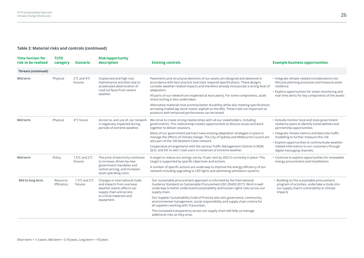### **Table 2: Material risks and controls (continued)**

| <b>TCFD</b><br>category | <b>Scenario</b>                                | <b>Risk/opportunity</b><br>description                                                                                                                          | <b>Existing controls</b>                                                                                                                                                                                                                                                                                                                                                                                                                                                                                                                                                                                                                   | <b>Example business opportunities</b>                                                                                                                                                                                          |
|-------------------------|------------------------------------------------|-----------------------------------------------------------------------------------------------------------------------------------------------------------------|--------------------------------------------------------------------------------------------------------------------------------------------------------------------------------------------------------------------------------------------------------------------------------------------------------------------------------------------------------------------------------------------------------------------------------------------------------------------------------------------------------------------------------------------------------------------------------------------------------------------------------------------|--------------------------------------------------------------------------------------------------------------------------------------------------------------------------------------------------------------------------------|
|                         |                                                |                                                                                                                                                                 |                                                                                                                                                                                                                                                                                                                                                                                                                                                                                                                                                                                                                                            |                                                                                                                                                                                                                                |
| Physical                | $2^{\circ}$ C and $4^{\circ}$ C<br>futures     | Unplanned and high cost<br>maintenance activities due to<br>accelerated deterioration of<br>road surfaces from severe<br>weather.                               | Pavements and structural elements of our assets are designed and delivered in<br>accordance with best practice and state required specifications. These designs<br>consider weather-related impacts and therefore already incorporate a strong level of<br>adaptation.<br>All parts of our network are inspected at least yearly. For some components, asset<br>stress testing is also undertaken.<br>Alternative materials that promise better durability while also meeting specifications<br>are being trialled (eg stone mastic asphalt on the M2). These trials are important so<br>products with enhanced performance can be tested. | · Integrate climate-related considerations into<br>lifecycle planning processes and measure asset<br>resilience<br>• Explore opportunities for smart monitoring and<br>real-time alerts for key components of the assets       |
| Physical                | 4°C future                                     | Access to, and use of, our network<br>is negatively impacted during<br>periods of extreme weather.                                                              | We strive to create strong relationships with all our stakeholders, including<br>governments. This relationship creates opportunities to discuss issues and work<br>together to deliver solutions.<br>Many of our government partners have existing adaptation strategies in place to<br>manage the effects of climate change. The City of Sydney and Melbourne Council are                                                                                                                                                                                                                                                                | • Actively monitor local and state government<br>resilience plans to identify vulnerabilities and<br>partnership opportunities.<br>• Integrate climate metrics and data into traffic<br>modelling to further measure this risk |
|                         |                                                |                                                                                                                                                                 | Cooperative arrangements with the various Traffic Management Centres in NSW,<br>QLD, and VIC to alert road users in instances of extreme weather.                                                                                                                                                                                                                                                                                                                                                                                                                                                                                          | • Explore opportunities to communicate weather-<br>related information to our customers through<br>digital messaging channels                                                                                                  |
| Policy                  | 1.5 $^{\circ}$ C and 2 $^{\circ}$ C<br>futures | The price of electricity continues<br>to increase, driven by new<br>government mandates and<br>carbon pricing, and increases<br>asset operating costs.          | A target to reduce our energy use by 10 per cent by 2023 is currently in place. This<br>target is supported by specific objectives and actions.<br>A number of specific actions are underway to improve the energy efficiency of our<br>network including upgrading to LED lights and optimising ventilation systems.                                                                                                                                                                                                                                                                                                                      | • Continue to explore opportunities for renewable<br>energy procurement and installations                                                                                                                                      |
| Resource<br>Efficiency  | 1.5 $\degree$ C and 2 $\degree$ C<br>futures   | Changes in international trade<br>and impacts from overseas<br>weather events affects our<br>supply chain and access<br>to critical materials and<br>equipment. | Our sustainable procurement approach is informed by the International<br>Guidance Standard on Sustainable Procurement (ISO 20400:2017). Work is well<br>underway to better understand sustainability and human rights risks across our<br>supply chain.<br>Our Supplier Sustainability Code of Practice also sets governance, community,<br>environmental management, social responsibility and supply chain criteria for<br>all suppliers working with Transurban.<br>This increased transparency across our supply chain will help us manage                                                                                             | • Building on the sustainable procurement<br>program of activities, undertake a study into<br>our supply chain's vulnerability to climate<br>impacts                                                                           |
|                         |                                                |                                                                                                                                                                 |                                                                                                                                                                                                                                                                                                                                                                                                                                                                                                                                                                                                                                            | also part of the 100 Resilient Cities network.<br>additional risks as they arise.                                                                                                                                              |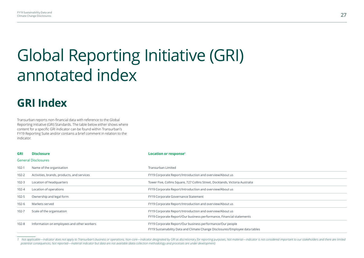# Global Reporting Initiative (GRI) annotated index

# **GRI Index**

Transurban reports non-financial data with reference to the Global Reporting Initiative (GRI) Standards. The table below either shows where content for a specific GRI indicator can be found within Transurban's FY19 Reporting Suite and/or contains a brief comment in relation to the indicator.

| <b>GRI</b> | <b>Disclosure</b>                          | Location or response <sup>1</sup>                                                                                                         |
|------------|--------------------------------------------|-------------------------------------------------------------------------------------------------------------------------------------------|
|            | <b>General Disclosures</b>                 |                                                                                                                                           |
| $102-1$    | Name of the organisation                   | Transurban Limited                                                                                                                        |
| $102 - 2$  | Activities, brands, products, and services | FY19 Corporate Report/Introduction and overview/About us                                                                                  |
| $102 - 3$  | Location of headquarters                   | Tower Five, Collins Square, 727 Collins Street, Docklands, Victoria Australia                                                             |
| $102 - 4$  | Location of operations                     | FY19 Corporate Report/Introduction and overview/About us                                                                                  |
| 102-5      | Ownership and legal form                   | FY19 Corporate Governance Statement                                                                                                       |
| 102-6      | Markets served                             | FY19 Corporate Report/Introduction and overview/About us                                                                                  |
| 102-7      | Scale of the organisation                  | FY19 Corporate Report/Introduction and overview/About us<br>FY19 Corporate Report/Our business performance, Financial statements          |
| $102 - 8$  | Information on employees and other workers | FY19 Corporate Report/Our business performance/Our people<br>FY19 Sustainability Data and Climate Change Disclosures/Employee data tables |
|            |                                            |                                                                                                                                           |

1 Not applicable—indicator does not apply to Transurban's business or operations: Non-core—indicator designated by GRI as discretionary for reporting purposes: Not material—indicator is not considered important to our stak *potential consequences; Not reported—material indicator but data are not available (data collection methodology and processes are under development)*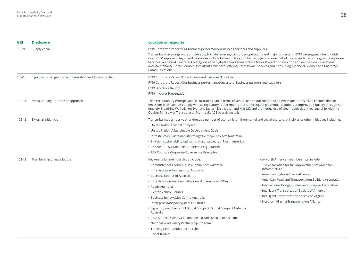| <b>GRI</b> | <b>Disclosure</b>                                            | Location or response <sup>1</sup>                                                                                                                                                                                                                                                                                                                                                                                                                                                                                                                                            |                                                                                                                                                                                                                                                                                                                                                                                                                                   |  |  |  |  |  |
|------------|--------------------------------------------------------------|------------------------------------------------------------------------------------------------------------------------------------------------------------------------------------------------------------------------------------------------------------------------------------------------------------------------------------------------------------------------------------------------------------------------------------------------------------------------------------------------------------------------------------------------------------------------------|-----------------------------------------------------------------------------------------------------------------------------------------------------------------------------------------------------------------------------------------------------------------------------------------------------------------------------------------------------------------------------------------------------------------------------------|--|--|--|--|--|
| $102 - 9$  | Supply chain                                                 | FY19 Corporate Report/Our business performance/Business partners and suppliers                                                                                                                                                                                                                                                                                                                                                                                                                                                                                               |                                                                                                                                                                                                                                                                                                                                                                                                                                   |  |  |  |  |  |
|            |                                                              | Transurban has a large and complex supply chain covering day-to-day operations and major projects. In FY19 we engaged directly with<br>over 1,600 suppliers. Key spend categories include Infrastructure (our highest spend area-65% of total spend), Technology and Corporate<br>Services. We have 47 spend sub-categories and highest spend areas include Major Project Construction and Acquisition, Operations<br>and Maintenance Prime Services, Intelligent Transport Systems, Professional Services and Consulting, Financial Services and Customer<br>Communications |                                                                                                                                                                                                                                                                                                                                                                                                                                   |  |  |  |  |  |
| 102-10     | Significant changes to the organization and its supply chain | FY19 Corporate Report/Introduction and overview/About us                                                                                                                                                                                                                                                                                                                                                                                                                                                                                                                     |                                                                                                                                                                                                                                                                                                                                                                                                                                   |  |  |  |  |  |
|            |                                                              | FY19 Corporate Report/Our business performance/Investors, Business partners and suppliers                                                                                                                                                                                                                                                                                                                                                                                                                                                                                    |                                                                                                                                                                                                                                                                                                                                                                                                                                   |  |  |  |  |  |
|            |                                                              | FY19 Directors' Report                                                                                                                                                                                                                                                                                                                                                                                                                                                                                                                                                       |                                                                                                                                                                                                                                                                                                                                                                                                                                   |  |  |  |  |  |
|            |                                                              | FY19 Investor Presentation                                                                                                                                                                                                                                                                                                                                                                                                                                                                                                                                                   |                                                                                                                                                                                                                                                                                                                                                                                                                                   |  |  |  |  |  |
| 102-11     | Precautionary Principle or approach                          | Quebec Ministry of Transport) on Montreal's A25 by waiving tolls                                                                                                                                                                                                                                                                                                                                                                                                                                                                                                             | The Precautionary Principle applies to Transurban in terms of vehicle use on our roads and air emissions. Transurban ensures that air<br>emissions from tunnels comply with all regulatory requirements and is investigating potential solutions to improve air quality through our<br>Junglefy Breathing Wall trial on Sydney's Eastern Distributor and Hills M2 and promoting use of electric vehicles (in partnership with the |  |  |  |  |  |
| 102-12     | External initiatives                                         | Transurban subscribes to or endorses a number of economic, environmental and social charters, principles or other initiatives including:                                                                                                                                                                                                                                                                                                                                                                                                                                     |                                                                                                                                                                                                                                                                                                                                                                                                                                   |  |  |  |  |  |
|            |                                                              | • United Nations Global Compact                                                                                                                                                                                                                                                                                                                                                                                                                                                                                                                                              |                                                                                                                                                                                                                                                                                                                                                                                                                                   |  |  |  |  |  |
|            |                                                              | • United Nations' Sustainable Development Goals                                                                                                                                                                                                                                                                                                                                                                                                                                                                                                                              |                                                                                                                                                                                                                                                                                                                                                                                                                                   |  |  |  |  |  |
|            |                                                              | • Infrastructure Sustainability ratings for major projects (Australia)                                                                                                                                                                                                                                                                                                                                                                                                                                                                                                       |                                                                                                                                                                                                                                                                                                                                                                                                                                   |  |  |  |  |  |
|            |                                                              | • Envision sustainability ratings for major projects in North America                                                                                                                                                                                                                                                                                                                                                                                                                                                                                                        |                                                                                                                                                                                                                                                                                                                                                                                                                                   |  |  |  |  |  |
|            |                                                              | · ISO 20400 - Sustainable procurement (guidance)                                                                                                                                                                                                                                                                                                                                                                                                                                                                                                                             |                                                                                                                                                                                                                                                                                                                                                                                                                                   |  |  |  |  |  |
|            |                                                              | • ASX Council's Corporate Governance Principles                                                                                                                                                                                                                                                                                                                                                                                                                                                                                                                              |                                                                                                                                                                                                                                                                                                                                                                                                                                   |  |  |  |  |  |
| 102-13     | Membership of associations                                   | Key Australian memberships include:                                                                                                                                                                                                                                                                                                                                                                                                                                                                                                                                          | Key North American memberships include:                                                                                                                                                                                                                                                                                                                                                                                           |  |  |  |  |  |
|            |                                                              | • Committee for Economic Development of Australia                                                                                                                                                                                                                                                                                                                                                                                                                                                                                                                            | • The Association for the Improvement of American                                                                                                                                                                                                                                                                                                                                                                                 |  |  |  |  |  |
|            |                                                              | • Infrastructure Partnerships Australia                                                                                                                                                                                                                                                                                                                                                                                                                                                                                                                                      | Infrastructure                                                                                                                                                                                                                                                                                                                                                                                                                    |  |  |  |  |  |
|            |                                                              | • Business Council of Australia                                                                                                                                                                                                                                                                                                                                                                                                                                                                                                                                              | • American Highway Users Alliance                                                                                                                                                                                                                                                                                                                                                                                                 |  |  |  |  |  |
|            |                                                              | • Infrastructure Sustainability Council of Australia (ISCA)                                                                                                                                                                                                                                                                                                                                                                                                                                                                                                                  | • American Road and Transportation Builders Association                                                                                                                                                                                                                                                                                                                                                                           |  |  |  |  |  |
|            |                                                              | • Roads Australia                                                                                                                                                                                                                                                                                                                                                                                                                                                                                                                                                            | • International Bridge, Tunnel and Turnpike Association                                                                                                                                                                                                                                                                                                                                                                           |  |  |  |  |  |
|            |                                                              | • Electric Vehicle Council                                                                                                                                                                                                                                                                                                                                                                                                                                                                                                                                                   | • Intelligent Transportation Society of America                                                                                                                                                                                                                                                                                                                                                                                   |  |  |  |  |  |
|            |                                                              | • Business Renewables Centre Australia                                                                                                                                                                                                                                                                                                                                                                                                                                                                                                                                       | • Intelligent Transportation Society of Virginia                                                                                                                                                                                                                                                                                                                                                                                  |  |  |  |  |  |
|            |                                                              | • Intelligent Transport Systems Australia                                                                                                                                                                                                                                                                                                                                                                                                                                                                                                                                    | • Northern Virginia Transportation Alliance                                                                                                                                                                                                                                                                                                                                                                                       |  |  |  |  |  |
|            |                                                              | • Signatory member of UN Global Compact/Global Compact Network<br>Australia                                                                                                                                                                                                                                                                                                                                                                                                                                                                                                  |                                                                                                                                                                                                                                                                                                                                                                                                                                   |  |  |  |  |  |
|            |                                                              | • ISCA Modern Slavery Coalition pilot (road construction sector)                                                                                                                                                                                                                                                                                                                                                                                                                                                                                                             |                                                                                                                                                                                                                                                                                                                                                                                                                                   |  |  |  |  |  |
|            |                                                              | • National Road Safety Partnership Program                                                                                                                                                                                                                                                                                                                                                                                                                                                                                                                                   |                                                                                                                                                                                                                                                                                                                                                                                                                                   |  |  |  |  |  |
|            |                                                              | • Thriving Communities Partnership                                                                                                                                                                                                                                                                                                                                                                                                                                                                                                                                           |                                                                                                                                                                                                                                                                                                                                                                                                                                   |  |  |  |  |  |
|            |                                                              | • Social Traders                                                                                                                                                                                                                                                                                                                                                                                                                                                                                                                                                             |                                                                                                                                                                                                                                                                                                                                                                                                                                   |  |  |  |  |  |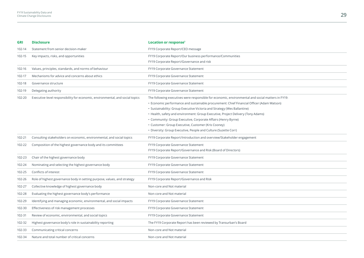| <b>GRI</b> | <b>Disclosure</b>                                                             | Location or response <sup>1</sup>                                                                 |
|------------|-------------------------------------------------------------------------------|---------------------------------------------------------------------------------------------------|
| 102-14     | Statement from senior decision-maker                                          | FY19 Corporate Report/CEO message                                                                 |
| 102-15     | Key impacts, risks, and opportunities                                         | FY19 Corporate Report/Our business performance/Communities                                        |
|            |                                                                               | FY19 Corporate Report/Governance and risk                                                         |
| 102-16     | Values, principles, standards, and norms of behaviour                         | FY19 Corporate Governance Statement                                                               |
| 102-17     | Mechanisms for advice and concerns about ethics                               | FY19 Corporate Governance Statement                                                               |
| 102-18     | Governance structure                                                          | FY19 Corporate Governance Statement                                                               |
| 102-19     | Delegating authority                                                          | FY19 Corporate Governance Statement                                                               |
| 102-20     | Executive-level responsibility for economic, environmental, and social topics | The following executives were responsible for economic, environmental and social matters in FY19: |
|            |                                                                               | • Economic performance and sustainable procurement: Chief Financial Officer (Adam Watson)         |
|            |                                                                               | · Sustainability: Group Executive Victoria and Strategy (Wes Ballantine)                          |
|            |                                                                               | • Health, safety and environment: Group Executive, Project Delivery (Tony Adams)                  |
|            |                                                                               | • Community: Group Executive, Corporate Affairs (Henry Byrne)                                     |
|            |                                                                               | • Customer: Group Executive, Customer (Kris Cooney)                                               |
|            |                                                                               | • Diversity: Group Executive, People and Culture (Suzette Corr)                                   |
| 102-21     | Consulting stakeholders on economic, environmental, and social topics         | FY19 Corporate Report/Introduction and overview/Stakeholder engagement                            |
| 102-22     | Composition of the highest governance body and its committees                 | FY19 Corporate Governance Statement                                                               |
|            |                                                                               | FY19 Corporate Report/Governance and Risk (Board of Directors)                                    |
| 102-23     | Chair of the highest governance body                                          | FY19 Corporate Governance Statement                                                               |
| 102-24     | Nominating and selecting the highest governance body                          | FY19 Corporate Governance Statement                                                               |
| 102-25     | Conflicts of interest                                                         | FY19 Corporate Governance Statement                                                               |
| 102-26     | Role of highest governance body in setting purpose, values, and strategy      | FY19 Corporate Report/Governance and Risk                                                         |
| 102-27     | Collective knowledge of highest governance body                               | Non-core and Not material                                                                         |
| 102-28     | Evaluating the highest governance body's performance                          | Non-core and Not material                                                                         |
| 102-29     | Identifying and managing economic, environmental, and social impacts          | FY19 Corporate Governance Statement                                                               |
| 102-30     | Effectiveness of risk management processes                                    | FY19 Corporate Governance Statement                                                               |
| 102-31     | Review of economic, environmental, and social topics                          | FY19 Corporate Governance Statement                                                               |
| 102-32     | Highest governance body's role in sustainability reporting                    | The FY19 Corporate Report has been reviewed by Transurban's Board                                 |
| 102-33     | Communicating critical concerns                                               | Non-core and Not material                                                                         |
| 102-34     | Nature and total number of critical concerns                                  | Non-core and Not material                                                                         |
|            |                                                                               |                                                                                                   |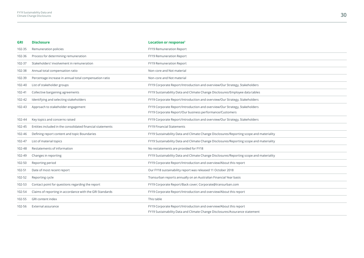| <b>GRI</b> | <b>Disclosure</b>                                          | Location or response <sup>1</sup>                                                                                                                |
|------------|------------------------------------------------------------|--------------------------------------------------------------------------------------------------------------------------------------------------|
| 102-35     | Remuneration policies                                      | FY19 Remuneration Report                                                                                                                         |
| 102-36     | Process for determining remuneration                       | FY19 Remuneration Report                                                                                                                         |
| 102-37     | Stakeholders' involvement in remuneration                  | FY19 Remuneration Report                                                                                                                         |
| 102-38     | Annual total compensation ratio                            | Non-core and Not material                                                                                                                        |
| 102-39     | Percentage increase in annual total compensation ratio     | Non-core and Not material                                                                                                                        |
| 102-40     | List of stakeholder groups                                 | FY19 Corporate Report/Introduction and overview/Our Strategy, Stakeholders                                                                       |
| 102-41     | Collective bargaining agreements                           | FY19 Sustainability Data and Climate Change Disclosures/Employee data tables                                                                     |
| 102-42     | Identifying and selecting stakeholders                     | FY19 Corporate Report/Introduction and overview/Our Strategy, Stakeholders                                                                       |
| 102-43     | Approach to stakeholder engagement                         | FY19 Corporate Report/Introduction and overview/Our Strategy, Stakeholders<br>FY19 Corporate Report/Our business performance/Customers           |
| 102-44     | Key topics and concerns raised                             | FY19 Corporate Report/Introduction and overview/Our Strategy, Stakeholders                                                                       |
| 102-45     | Entities included in the consolidated financial statements | <b>FY19 Financial Statements</b>                                                                                                                 |
| 102-46     | Defining report content and topic Boundaries               | FY19 Sustainability Data and Climate Change Disclosures/Reporting scope and materiality                                                          |
| 102-47     | List of material topics                                    | FY19 Sustainability Data and Climate Change Disclosures/Reporting scope and materiality                                                          |
| 102-48     | Restatements of information                                | No restatements are provided for FY18                                                                                                            |
| 102-49     | Changes in reporting                                       | FY19 Sustainability Data and Climate Change Disclosures/Reporting scope and materiality                                                          |
| 102-50     | Reporting period                                           | FY19 Corporate Report/Introduction and overview/About this report                                                                                |
| 102-51     | Date of most recent report                                 | Our FY18 sustainability report was released 11 October 2018                                                                                      |
| 102-52     | Reporting cycle                                            | Transurban reports annually on an Australian Financial Year basis                                                                                |
| 102-53     | Contact point for questions regarding the report           | FY19 Corporate Report/Back cover; Corporate@transurban.com                                                                                       |
| 102-54     | Claims of reporting in accordance with the GRI Standards   | FY19 Corporate Report/Introduction and overview/About this report                                                                                |
| 102-55     | <b>GRI</b> content index                                   | This table                                                                                                                                       |
| 102-56     | External assurance                                         | FY19 Corporate Report/Introduction and overview/About this report<br>FY19 Sustainability Data and Climate Change Disclosures/Assurance statement |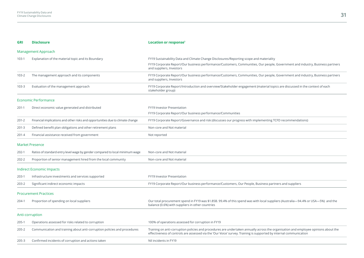| <b>GRI</b>                   | <b>Disclosure</b>                                                              | Location or response <sup>1</sup>                                                                                                                                                                                                                         |  |  |
|------------------------------|--------------------------------------------------------------------------------|-----------------------------------------------------------------------------------------------------------------------------------------------------------------------------------------------------------------------------------------------------------|--|--|
|                              | Management Approach                                                            |                                                                                                                                                                                                                                                           |  |  |
| $103-1$                      | Explanation of the material topic and its Boundary                             | FY19 Sustainability Data and Climate Change Disclosures/Reporting scope and materiality                                                                                                                                                                   |  |  |
|                              |                                                                                | FY19 Corporate Report/Our business performance/Customers, Communities, Our people, Government and industry, Business partners<br>and suppliers, Investors                                                                                                 |  |  |
| $103 - 2$                    | The management approach and its components                                     | FY19 Corporate Report/Our business performance/Customers, Communities, Our people, Government and industry, Business partners<br>and suppliers, Investors                                                                                                 |  |  |
| $103 - 3$                    | Evaluation of the management approach                                          | FY19 Corporate Report/Introduction and overview/Stakeholder engagement (material topics are discussed in the context of each<br>stakeholder group)                                                                                                        |  |  |
|                              | <b>Economic Performance</b>                                                    |                                                                                                                                                                                                                                                           |  |  |
| $201-1$                      | Direct economic value generated and distributed                                | FY19 Investor Presentation                                                                                                                                                                                                                                |  |  |
|                              |                                                                                | FY19 Corporate Report/Our business performance/Communities                                                                                                                                                                                                |  |  |
| $201 - 2$                    | Financial implications and other risks and opportunities due to climate change | FY19 Corporate Report/Governance and risk (discusses our progress with implementing TCFD recommendations)                                                                                                                                                 |  |  |
| $201 - 3$                    | Defined benefit plan obligations and other retirement plans                    | Non-core and Not material                                                                                                                                                                                                                                 |  |  |
| $201 - 4$                    | Financial assistance received from government                                  | Not reported                                                                                                                                                                                                                                              |  |  |
|                              | <b>Market Presence</b>                                                         |                                                                                                                                                                                                                                                           |  |  |
| $202-1$                      | Ratios of standard entry level wage by gender compared to local minimum wage   | Non-core and Not material                                                                                                                                                                                                                                 |  |  |
| 202-2                        | Proportion of senior management hired from the local community                 | Non-core and Not material                                                                                                                                                                                                                                 |  |  |
|                              | <b>Indirect Economic Impacts</b>                                               |                                                                                                                                                                                                                                                           |  |  |
| 203-1                        | Infrastructure investments and services supported                              | FY19 Investor Presentation                                                                                                                                                                                                                                |  |  |
| $203 - 2$                    | Significant indirect economic impacts                                          | FY19 Corporate Report/Our business performance/Customers, Our People, Business partners and suppliers                                                                                                                                                     |  |  |
| <b>Procurement Practices</b> |                                                                                |                                                                                                                                                                                                                                                           |  |  |
| 204-1                        | Proportion of spending on local suppliers                                      | Our total procurement spend in FY19 was \$1.85B. 99.4% of this spend was with local suppliers (Australia-94.4% or USA-5%) and the<br>balance (0.6%) with suppliers in other countries                                                                     |  |  |
|                              | Anti-corruption                                                                |                                                                                                                                                                                                                                                           |  |  |
| 205-1                        | Operations assessed for risks related to corruption                            | 100% of operations assessed for corruption in FY19                                                                                                                                                                                                        |  |  |
| $205 - 2$                    | Communication and training about anti-corruption policies and procedures       | Training on anti-corruption policies and procedures are undertaken annually across the organisation and employee opinions about the<br>effectiveness of controls are assessed via the 'Our Voice' survey. Training is supported by internal communication |  |  |
| $205 - 3$                    | Confirmed incidents of corruption and actions taken                            | Nil incidents in FY19                                                                                                                                                                                                                                     |  |  |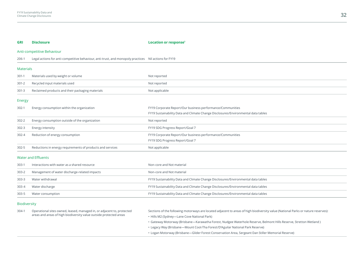| <b>GRI</b>          | <b>Disclosure</b>                                                                                                                            | Location or response <sup>1</sup>                                                                                                 |  |  |
|---------------------|----------------------------------------------------------------------------------------------------------------------------------------------|-----------------------------------------------------------------------------------------------------------------------------------|--|--|
|                     | Anti-competitive Behaviour                                                                                                                   |                                                                                                                                   |  |  |
| 206-1               | Legal actions for anti-competitive behaviour, anti-trust, and monopoly practices Nil actions for FY19                                        |                                                                                                                                   |  |  |
|                     | <b>Materials</b>                                                                                                                             |                                                                                                                                   |  |  |
| $301-1$             | Materials used by weight or volume                                                                                                           | Not reported                                                                                                                      |  |  |
| $301 - 2$           | Recycled input materials used                                                                                                                | Not reported                                                                                                                      |  |  |
| $301 - 3$           | Reclaimed products and their packaging materials                                                                                             | Not applicable                                                                                                                    |  |  |
| Energy              |                                                                                                                                              |                                                                                                                                   |  |  |
| $302-1$             | Energy consumption within the organization                                                                                                   | FY19 Corporate Report/Our business performance/Communities                                                                        |  |  |
|                     |                                                                                                                                              | FY19 Sustainability Data and Climate Change Disclosures/Environmental data tables                                                 |  |  |
| $302 - 2$           | Energy consumption outside of the organization                                                                                               | Not reported                                                                                                                      |  |  |
| $302 - 3$           | Energy intensity                                                                                                                             | FY19 SDG Progress Report/Goal 7                                                                                                   |  |  |
| $302 - 4$           | Reduction of energy consumption                                                                                                              | FY19 Corporate Report/Our business performance/Communities                                                                        |  |  |
|                     |                                                                                                                                              | FY19 SDG Progress Report/Goal 7                                                                                                   |  |  |
| $302 - 5$           | Reductions in energy requirements of products and services                                                                                   | Not applicable                                                                                                                    |  |  |
|                     | <b>Water and Effluents</b>                                                                                                                   |                                                                                                                                   |  |  |
| $303-1$             | Interactions with water as a shared resource                                                                                                 | Non-core and Not material                                                                                                         |  |  |
| 303-2               | Management of water discharge-related impacts                                                                                                | Non-core and Not material                                                                                                         |  |  |
| $303 - 3$           | Water withdrawal                                                                                                                             | FY19 Sustainability Data and Climate Change Disclosures/Environmental data tables                                                 |  |  |
| $303 - 4$           | Water discharge                                                                                                                              | FY19 Sustainability Data and Climate Change Disclosures/Environmental data tables                                                 |  |  |
| $303 - 5$           | Water consumption                                                                                                                            | FY19 Sustainability Data and Climate Change Disclosures/Environmental data tables                                                 |  |  |
| <b>Biodiversity</b> |                                                                                                                                              |                                                                                                                                   |  |  |
| $304-1$             | Operational sites owned, leased, managed in, or adjacent to, protected<br>areas and areas of high biodiversity value outside protected areas | Sections of the following motorways are located adjacent to areas of high biodiversity value (National Parks or nature reserves): |  |  |
|                     |                                                                                                                                              | • Hills M2 (Sydney-Lane Cove National Park)                                                                                       |  |  |

- Gateway Motorway (Brisbane—Karawatha Forest, Nudgee Waterhole Reserve, Belmont Hills Reserve, Stretton Wetland )
- Legacy Way (Brisbane—Mount Coot-Tha Forest/D'Aguilar National Park Reserve)
- Logan Motorway (Brisbane—Glider Forest Conservation Area, Sergeant Dan Stiller Memorial Reserve)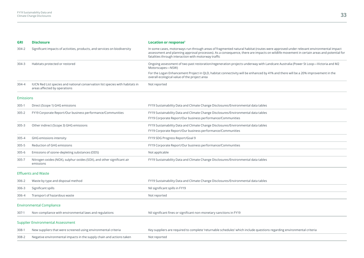| <b>GRI</b>       | <b>Disclosure</b>                                                                                             | Location or response <sup>1</sup>                                                                                                                                                                                                                                                                                                      |  |
|------------------|---------------------------------------------------------------------------------------------------------------|----------------------------------------------------------------------------------------------------------------------------------------------------------------------------------------------------------------------------------------------------------------------------------------------------------------------------------------|--|
| 304-2            | Significant impacts of activities, products, and services on biodiversity                                     | In some cases, motorways run through areas of fragmented natural habitat (routes were approved under relevant environmental impact<br>assessment and planning approval processes). As a consequence, there are impacts on wildlife movement in certain areas and potential for<br>fatalities through interaction with motorway traffic |  |
| 304-3            | Habitats protected or restored                                                                                | Ongoing assessment of two past restoration/regeneration projects underway with Landcare Australia (Power St Loop-Victoria and M2<br>Motorscapes-NSW)                                                                                                                                                                                   |  |
|                  |                                                                                                               | For the Logan Enhancement Project in QLD, habitat connectivity will be enhanced by 41% and there will be a 20% improvement in the<br>overall ecological value of the project area                                                                                                                                                      |  |
| 304-4            | IUCN Red List species and national conservation list species with habitats in<br>areas affected by operations | Not reported                                                                                                                                                                                                                                                                                                                           |  |
| <b>Emissions</b> |                                                                                                               |                                                                                                                                                                                                                                                                                                                                        |  |
| 305-1            | Direct (Scope 1) GHG emissions                                                                                | FY19 Sustainability Data and Climate Change Disclosures/Environmental data tables                                                                                                                                                                                                                                                      |  |
| $305 - 2$        | FY19 Corporate Report/Our business performance/Communities                                                    | FY19 Sustainability Data and Climate Change Disclosures/Environmental data tables                                                                                                                                                                                                                                                      |  |
|                  |                                                                                                               | FY19 Corporate Report/Our business performance/Communities                                                                                                                                                                                                                                                                             |  |
| $305 - 3$        | Other indirect (Scope 3) GHG emissions                                                                        | FY19 Sustainability Data and Climate Change Disclosures/Environmental data tables                                                                                                                                                                                                                                                      |  |
|                  |                                                                                                               | FY19 Corporate Report/Our business performance/Communities                                                                                                                                                                                                                                                                             |  |
| $305 - 4$        | GHG emissions intensity                                                                                       | FY19 SDG Progress Report/Goal 9                                                                                                                                                                                                                                                                                                        |  |
| $305 - 5$        | Reduction of GHG emissions                                                                                    | FY19 Corporate Report/Our business performance/Communities                                                                                                                                                                                                                                                                             |  |
| $305 - 6$        | Emissions of ozone-depleting substances (ODS)                                                                 | Not applicable                                                                                                                                                                                                                                                                                                                         |  |
| 305-7            | Nitrogen oxides (NOX), sulphur oxides (SOX), and other significant air<br>emissions                           | FY19 Sustainability Data and Climate Change Disclosures/Environmental data tables                                                                                                                                                                                                                                                      |  |
|                  | <b>Effluents and Waste</b>                                                                                    |                                                                                                                                                                                                                                                                                                                                        |  |
| 306-2            | Waste by type and disposal method                                                                             | FY19 Sustainability Data and Climate Change Disclosures/Environmental data tables                                                                                                                                                                                                                                                      |  |
| 306-3            | Significant spills                                                                                            | Nil significant spills in FY19                                                                                                                                                                                                                                                                                                         |  |
| 306-4            | Transport of hazardous waste                                                                                  | Not reported                                                                                                                                                                                                                                                                                                                           |  |
|                  | <b>Environmental Compliance</b>                                                                               |                                                                                                                                                                                                                                                                                                                                        |  |
| 307-1            | Non-compliance with environmental laws and regulations                                                        | Nil significant fines or significant non-monetary sanctions in FY19                                                                                                                                                                                                                                                                    |  |
|                  | <b>Supplier Environmental Assessment</b>                                                                      |                                                                                                                                                                                                                                                                                                                                        |  |

# 308-1 New suppliers that were screened using environmental criteria Key suppliers are required to complete 'returnable schedules' which include questions regarding environmental criteria 308-2 Negative environmental impacts in the supply chain and actions taken Not reported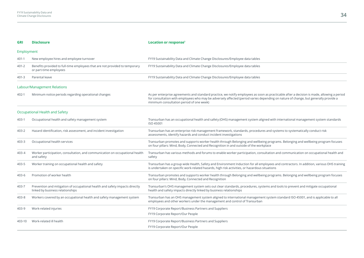| <b>GRI</b> | <b>Disclosure</b>                                                                                                | Location or response <sup>1</sup>                                                                                                                                                                                                                                                                                             |
|------------|------------------------------------------------------------------------------------------------------------------|-------------------------------------------------------------------------------------------------------------------------------------------------------------------------------------------------------------------------------------------------------------------------------------------------------------------------------|
| Employment |                                                                                                                  |                                                                                                                                                                                                                                                                                                                               |
| 401-1      | New employee hires and employee turnover                                                                         | FY19 Sustainability Data and Climate Change Disclosures/Employee data tables                                                                                                                                                                                                                                                  |
| $401 - 2$  | Benefits provided to full-time employees that are not provided to temporary<br>or part-time employees            | FY19 Sustainability Data and Climate Change Disclosures/Employee data tables                                                                                                                                                                                                                                                  |
| $401 - 3$  | Parental leave                                                                                                   | FY19 Sustainability Data and Climate Change Disclosures/Employee data tables                                                                                                                                                                                                                                                  |
|            | Labour/Management Relations                                                                                      |                                                                                                                                                                                                                                                                                                                               |
| 402-1      | Minimum notice periods regarding operational changes                                                             | As per enterprise agreements and standard practice, we notify employees as soon as practicable after a decision is made, allowing a period<br>for consultation with employees who may be adversely affected (period varies depending on nature of change, but generally provide a<br>minimum consultation period of one week) |
|            | Occupational Health and Safety                                                                                   |                                                                                                                                                                                                                                                                                                                               |
| 403-1      | Occupational health and safety management system                                                                 | Transurban has an occupational health and safety (OHS) management system aligned with international management system standards<br>ISO 45001                                                                                                                                                                                  |
| 403-2      | Hazard identification, risk assessment, and incident investigation                                               | Transurban has an enterprise risk management framework, standards, procedures and systems to systematically conduct risk<br>assessments, identify hazards and conduct incident investigations                                                                                                                                 |
| 403-3      | Occupational health services                                                                                     | Transurban promotes and supports worker health through Belonging and wellbeing programs. Belonging and wellbeing program focuses<br>on four pillars: Mind, Body, Connected and Recognition in and outside of the workplace                                                                                                    |
| 403-4      | Worker participation, consultation, and communication on occupational health<br>and safety                       | Transurban has various methods and forums to enable worker participation, consultation and communication on occupational health and<br>safety                                                                                                                                                                                 |
| 403-5      | Worker training on occupational health and safety                                                                | Transurban has a group wide Health, Safety and Environment Induction for all employees and contractors. In addition, various OHS training<br>is undertaken on specific work-related hazards, high risk activities, or hazardous situations                                                                                    |
| $403 - 6$  | Promotion of worker health                                                                                       | Transurban promotes and supports worker health through Belonging and wellbeing programs. Belonging and wellbeing program focuses<br>on four pillars: Mind, Body, Connected and Recognition                                                                                                                                    |
| 403-7      | Prevention and mitigation of occupational health and safety impacts directly<br>linked by business relationships | Transurban's OHS management system sets out clear standards, procedures, systems and tools to prevent and mitigate occupational<br>health and safety impacts directly linked by business relationships                                                                                                                        |
| $403 - 8$  | Workers covered by an occupational health and safety management system                                           | Transurban has an OHS management system aligned to international management system standard ISO 45001, and is applicable to all<br>employees and other workers under the management and control of Transurban                                                                                                                 |
| 403-9      | Work-related injuries                                                                                            | FY19 Corporate Report/Business Partners and Suppliers                                                                                                                                                                                                                                                                         |
|            |                                                                                                                  | FY19 Corporate Report/Our People                                                                                                                                                                                                                                                                                              |
| 403-10     | Work-related ill health                                                                                          | FY19 Corporate Report/Business Partners and Suppliers                                                                                                                                                                                                                                                                         |
|            |                                                                                                                  | FY19 Corporate Report/Our People                                                                                                                                                                                                                                                                                              |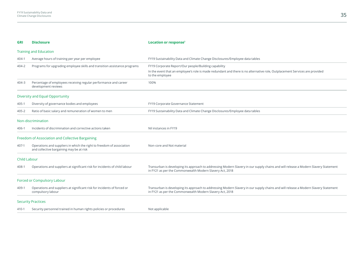| <b>GRI</b>                  | <b>Disclosure</b>                                                                                                 | Location or response <sup>1</sup>                                                                                                                                                               |  |
|-----------------------------|-------------------------------------------------------------------------------------------------------------------|-------------------------------------------------------------------------------------------------------------------------------------------------------------------------------------------------|--|
|                             | <b>Training and Education</b>                                                                                     |                                                                                                                                                                                                 |  |
| $404-1$                     | Average hours of training per year per employee                                                                   | FY19 Sustainability Data and Climate Change Disclosures/Employee data tables                                                                                                                    |  |
| 404-2                       | Programs for upgrading employee skills and transition assistance programs                                         | FY19 Corporate Report/Our people/Building capability                                                                                                                                            |  |
|                             |                                                                                                                   | In the event that an employee's role is made redundant and there is no alternative role, Outplacement Services are provided<br>to the employee                                                  |  |
| $404 - 3$                   | Percentage of employees receiving regular performance and career<br>development reviews                           | 100%                                                                                                                                                                                            |  |
|                             | <b>Diversity and Equal Opportunity</b>                                                                            |                                                                                                                                                                                                 |  |
| $405 - 1$                   | Diversity of governance bodies and employees                                                                      | FY19 Corporate Governance Statement                                                                                                                                                             |  |
| $405 - 2$                   | Ratio of basic salary and remuneration of women to men                                                            | FY19 Sustainability Data and Climate Change Disclosures/Employee data tables                                                                                                                    |  |
|                             | Non-discrimination                                                                                                |                                                                                                                                                                                                 |  |
| 406-1                       | Incidents of discrimination and corrective actions taken                                                          | Nil instances in FY19                                                                                                                                                                           |  |
|                             | Freedom of Association and Collective Bargaining                                                                  |                                                                                                                                                                                                 |  |
| 407-1                       | Operations and suppliers in which the right to freedom of association<br>and collective bargaining may be at risk | Non-core and Not material                                                                                                                                                                       |  |
| <b>Child Labour</b>         |                                                                                                                   |                                                                                                                                                                                                 |  |
| 408-1                       | Operations and suppliers at significant risk for incidents of child labour                                        | Transurban is developing its approach to addressing Modern Slavery in our supply chains and will release a Modern Slavery Statement<br>in FY21 as per the Commonwealth Modern Slavery Act, 2018 |  |
| Forced or Compulsory Labour |                                                                                                                   |                                                                                                                                                                                                 |  |
| 409-1                       | Operations and suppliers at significant risk for incidents of forced or<br>compulsory labour                      | Transurban is developing its approach to addressing Modern Slavery in our supply chains and will release a Modern Slavery Statement<br>in FY21 as per the Commonwealth Modern Slavery Act, 2018 |  |
|                             | <b>Security Practices</b>                                                                                         |                                                                                                                                                                                                 |  |
| $410 - 1$                   | Security personnel trained in human rights policies or procedures                                                 | Not applicable                                                                                                                                                                                  |  |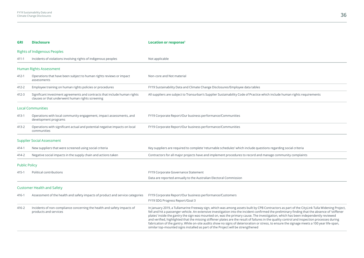| <b>GRI</b>           | <b>Disclosure</b>                                                                                                             | Location or response <sup>1</sup>                                                                                                                                                                                                                                                                                                                                                                                                                                                                                                                                                                                                                                                                                                                                                                                        |  |
|----------------------|-------------------------------------------------------------------------------------------------------------------------------|--------------------------------------------------------------------------------------------------------------------------------------------------------------------------------------------------------------------------------------------------------------------------------------------------------------------------------------------------------------------------------------------------------------------------------------------------------------------------------------------------------------------------------------------------------------------------------------------------------------------------------------------------------------------------------------------------------------------------------------------------------------------------------------------------------------------------|--|
|                      | <b>Rights of Indigenous Peoples</b>                                                                                           |                                                                                                                                                                                                                                                                                                                                                                                                                                                                                                                                                                                                                                                                                                                                                                                                                          |  |
| $411 - 1$            | Incidents of violations involving rights of indigenous peoples                                                                | Not applicable                                                                                                                                                                                                                                                                                                                                                                                                                                                                                                                                                                                                                                                                                                                                                                                                           |  |
|                      | <b>Human Rights Assessment</b>                                                                                                |                                                                                                                                                                                                                                                                                                                                                                                                                                                                                                                                                                                                                                                                                                                                                                                                                          |  |
| 412-1                | Operations that have been subject to human rights reviews or impact<br>assessments                                            | Non-core and Not material                                                                                                                                                                                                                                                                                                                                                                                                                                                                                                                                                                                                                                                                                                                                                                                                |  |
| 412-2                | Employee training on human rights policies or procedures                                                                      | FY19 Sustainability Data and Climate Change Disclosures/Employee data tables                                                                                                                                                                                                                                                                                                                                                                                                                                                                                                                                                                                                                                                                                                                                             |  |
| 412-3                | Significant investment agreements and contracts that include human rights<br>clauses or that underwent human rights screening | All suppliers are subject to Transurban's Supplier Sustainability Code of Practice which include human rights requirements                                                                                                                                                                                                                                                                                                                                                                                                                                                                                                                                                                                                                                                                                               |  |
|                      | <b>Local Communities</b>                                                                                                      |                                                                                                                                                                                                                                                                                                                                                                                                                                                                                                                                                                                                                                                                                                                                                                                                                          |  |
| $413 - 1$            | Operations with local community engagement, impact assessments, and<br>development programs                                   | FY19 Corporate Report/Our business performance/Communities                                                                                                                                                                                                                                                                                                                                                                                                                                                                                                                                                                                                                                                                                                                                                               |  |
| 413-2                | Operations with significant actual and potential negative impacts on local<br>communities                                     | FY19 Corporate Report/Our business performance/Communities                                                                                                                                                                                                                                                                                                                                                                                                                                                                                                                                                                                                                                                                                                                                                               |  |
|                      | <b>Supplier Social Assessment</b>                                                                                             |                                                                                                                                                                                                                                                                                                                                                                                                                                                                                                                                                                                                                                                                                                                                                                                                                          |  |
| 414-1                | New suppliers that were screened using social criteria                                                                        | Key suppliers are required to complete 'returnable schedules' which include questions regarding social criteria                                                                                                                                                                                                                                                                                                                                                                                                                                                                                                                                                                                                                                                                                                          |  |
| 414-2                | Negative social impacts in the supply chain and actions taken                                                                 | Contractors for all major projects have and implement procedures to record and manage community complaints                                                                                                                                                                                                                                                                                                                                                                                                                                                                                                                                                                                                                                                                                                               |  |
| <b>Public Policy</b> |                                                                                                                               |                                                                                                                                                                                                                                                                                                                                                                                                                                                                                                                                                                                                                                                                                                                                                                                                                          |  |
| $415 - 1$            | Political contributions                                                                                                       | FY19 Corporate Governance Statement                                                                                                                                                                                                                                                                                                                                                                                                                                                                                                                                                                                                                                                                                                                                                                                      |  |
|                      |                                                                                                                               | Data are reported annually to the Australian Electoral Commission                                                                                                                                                                                                                                                                                                                                                                                                                                                                                                                                                                                                                                                                                                                                                        |  |
|                      | <b>Customer Health and Safety</b>                                                                                             |                                                                                                                                                                                                                                                                                                                                                                                                                                                                                                                                                                                                                                                                                                                                                                                                                          |  |
| 416-1                | Assessment of the health and safety impacts of product and service categories                                                 | FY19 Corporate Report/Our business performance/Customers<br>FY19 SDG Progress Report/Goal 3                                                                                                                                                                                                                                                                                                                                                                                                                                                                                                                                                                                                                                                                                                                              |  |
| 416-2                | Incidents of non-compliance concerning the health and safety impacts of<br>products and services                              | In January 2019, a Tullamarine Freeway sign, which was among assets built by CPB Contractors as part of the CityLink Tulla Widening Project,<br>fell and hit a passenger vehicle. An extensive investigation into the incident confirmed the preliminary finding that the absence of 'stiffener<br>plates' inside the gantry the sign was mounted on, was the primary cause. The investigation, which has been independently reviewed<br>and verified, highlighted that the missing stiffener plates are the result of failures in the quality control and inspection processes during<br>fabrication of the gantry. While on-site audits show no signs of deterioration or stress, to ensure the signage meets a 100 year life-span,<br>similar top-mounted signs installed as part of the Project will be strengthened |  |